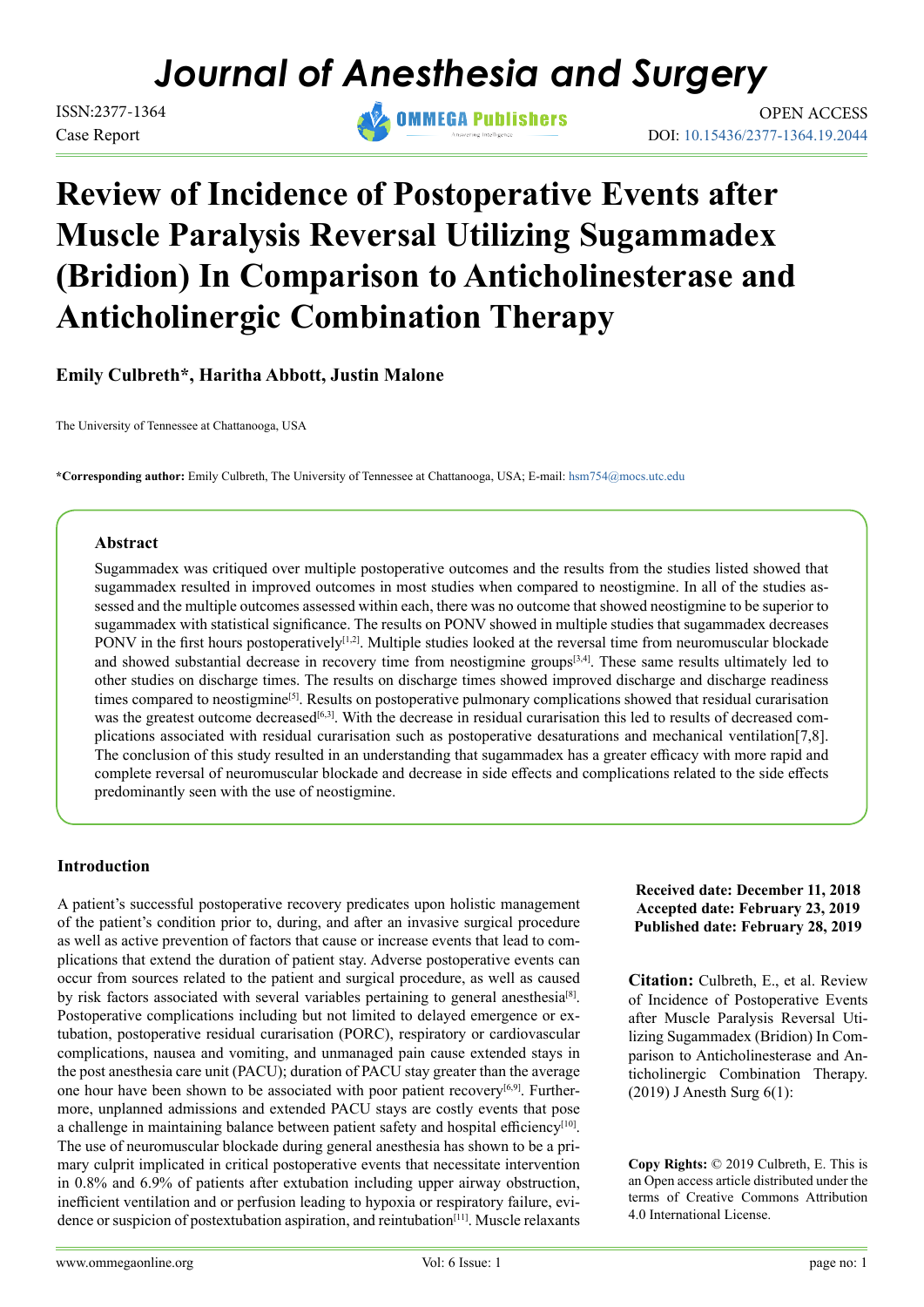# *Journal of Anesthesia and Surgery*

Case Report



DOI: [10.15436/2377-1364.19.2044](https://doi.org/10.15436/2377-1364.19.2044) ISSN:2377-1364 OMMEGA Publishers OPEN ACCESS

## **Review of Incidence of Postoperative Events after Muscle Paralysis Reversal Utilizing Sugammadex (Bridion) In Comparison to Anticholinesterase and Anticholinergic Combination Therapy**

**Emily Culbreth\*, Haritha Abbott, Justin Malone**

The University of Tennessee at Chattanooga, USA

**\*Corresponding author:** Emily Culbreth, The University of Tennessee at Chattanooga, USA; E-mail: [hsm754@mocs.utc.edu](mailto:hsm754%40mocs.utc.edu?subject=)

## **Abstract**

Sugammadex was critiqued over multiple postoperative outcomes and the results from the studies listed showed that sugammadex resulted in improved outcomes in most studies when compared to neostigmine. In all of the studies assessed and the multiple outcomes assessed within each, there was no outcome that showed neostigmine to be superior to sugammadex with statistical significance. The results on PONV showed in multiple studies that sugammadex decreases PONV in the first hours postoperatively<sup>[1,2]</sup>. Multiple studies looked at the reversal time from neuromuscular blockade and showed substantial decrease in recovery time from neostigmine groups<sup>[3,4]</sup>. These same results ultimately led to other studies on discharge times. The results on discharge times showed improved discharge and discharge readiness times compared to neostigmine[\[5\].](#page-12-2) Results on postoperative pulmonary complications showed that residual curarisation was the greatest outcome decreased<sup>[6,3]</sup>. With the decrease in residual curarisation this led to results of decreased complications associated with residual curarisation such as postoperative desaturations and mechanical ventilation[7,8]. The conclusion of this study resulted in an understanding that sugammadex has a greater efficacy with more rapid and complete reversal of neuromuscular blockade and decrease in side effects and complications related to the side effects predominantly seen with the use of neostigmine.

## **Introduction**

A patient's successful postoperative recovery predicates upon holistic management of the patient's condition prior to, during, and after an invasive surgical procedure as well as active prevention of factors that cause or increase events that lead to complications that extend the duration of patient stay. Adverse postoperative events can occur from sources related to the patient and surgical procedure, as well as caused by risk factors associated with several variables pertaining to general anesthesia<sup>[\[8\]](#page-12-4)</sup>. Postoperative complications including but not limited to delayed emergence or extubation, postoperative residual curarisation (PORC), respiratory or cardiovascular complications, nausea and vomiting, and unmanaged pain cause extended stays in the post anesthesia care unit (PACU); duration of PACU stay greater than the average one hour have been shown to be associated with poor patient recovery<sup>[6,9]</sup>. Furthermore, unplanned admissions and extended PACU stays are costly events that pose a challenge in maintaining balance between patient safety and hospital efficiency<sup>[\[10\]](#page-12-5)</sup>. The use of neuromuscular blockade during general anesthesia has shown to be a primary culprit implicated in critical postoperative events that necessitate intervention in 0.8% and 6.9% of patients after extubation including upper airway obstruction, inefficient ventilation and or perfusion leading to hypoxia or respiratory failure, evidence or suspicion of postextubation aspiration, and reintubation<sup>[11]</sup>. Muscle relaxants **Received date: December 11, 2018 Accepted date: February 23, 2019 Published date: February 28, 2019**

**Citation:** Culbreth, E., et al. Review of Incidence of Postoperative Events after Muscle Paralysis Reversal Utilizing Sugammadex (Bridion) In Comparison to Anticholinesterase and Anticholinergic Combination Therapy. (2019) J Anesth Surg 6(1):

**Copy Rights:** © 2019 Culbreth, E. This is an Open access article distributed under the terms of Creative Commons Attribution 4.0 International License.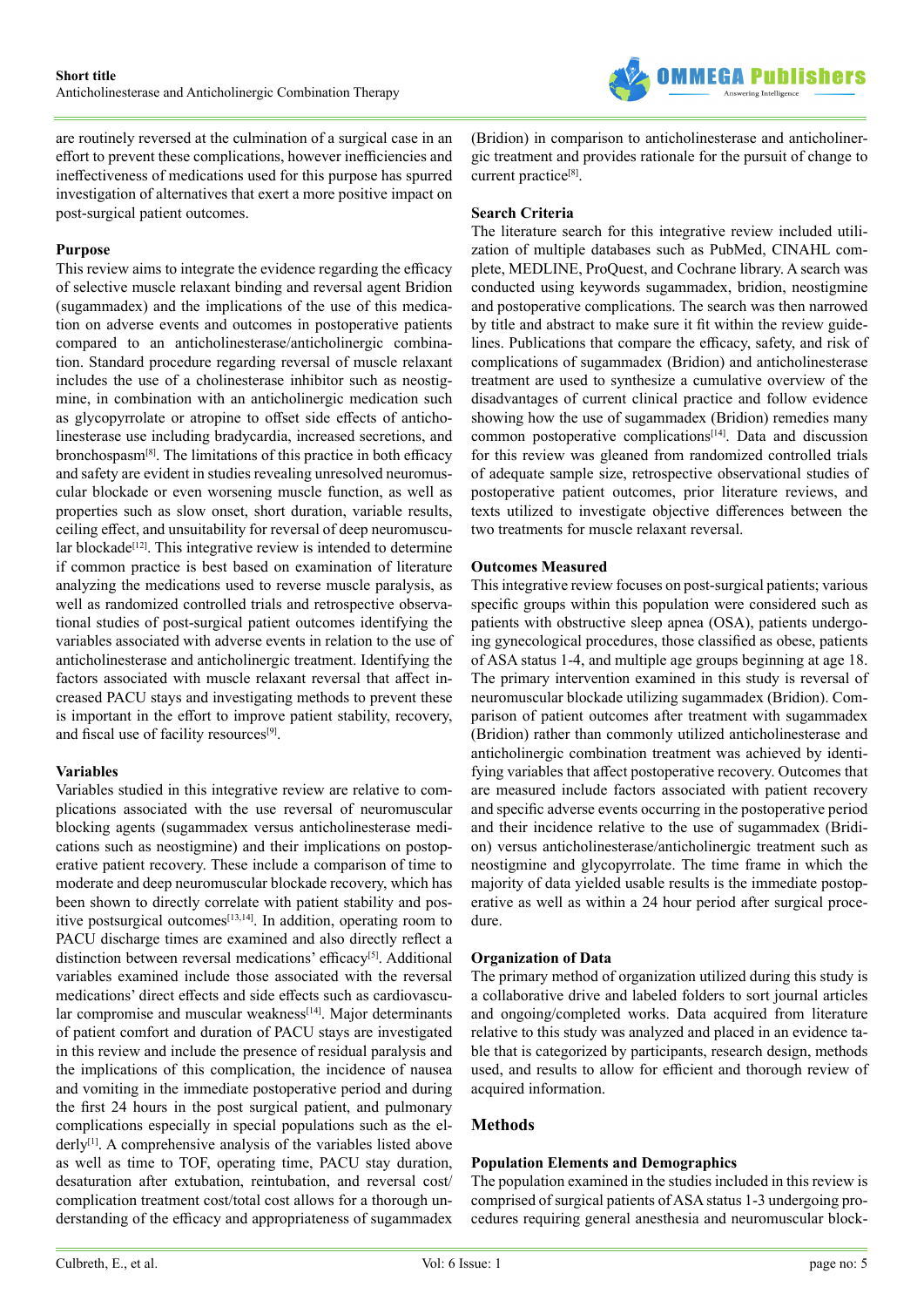

are routinely reversed at the culmination of a surgical case in an effort to prevent these complications, however inefficiencies and ineffectiveness of medications used for this purpose has spurred investigation of alternatives that exert a more positive impact on post-surgical patient outcomes.

#### **Purpose**

This review aims to integrate the evidence regarding the efficacy of selective muscle relaxant binding and reversal agent Bridion (sugammadex) and the implications of the use of this medication on adverse events and outcomes in postoperative patients compared to an anticholinesterase/anticholinergic combination. Standard procedure regarding reversal of muscle relaxant includes the use of a cholinesterase inhibitor such as neostigmine, in combination with an anticholinergic medication such as glycopyrrolate or atropine to offset side effects of anticholinesterase use including bradycardia, increased secretions, and bronchospasm<sup>[\[8\]](#page-12-4)</sup>. The limitations of this practice in both efficacy and safety are evident in studies revealing unresolved neuromuscular blockade or even worsening muscle function, as well as properties such as slow onset, short duration, variable results, ceiling effect, and unsuitability for reversal of deep neuromuscular blockade<sup>[12]</sup>. This integrative review is intended to determine if common practice is best based on examination of literature analyzing the medications used to reverse muscle paralysis, as well as randomized controlled trials and retrospective observational studies of post-surgical patient outcomes identifying the variables associated with adverse events in relation to the use of anticholinesterase and anticholinergic treatment. Identifying the factors associated with muscle relaxant reversal that affect increased PACU stays and investigating methods to prevent these is important in the effort to improve patient stability, recovery, and fiscal use of facility resources<sup>[9]</sup>.

## **Variables**

Variables studied in this integrative review are relative to complications associated with the use reversal of neuromuscular blocking agents (sugammadex versus anticholinesterase medications such as neostigmine) and their implications on postoperative patient recovery. These include a comparison of time to moderate and deep neuromuscular blockade recovery, which has been shown to directly correlate with patient stability and positive postsurgical outcome[s\[13,14\]](#page-12-9). In addition, operating room to PACU discharge times are examined and also directly reflect a distinction between reversal medications' efficacy<sup>[5]</sup>. Additional variables examined include those associated with the reversal medications' direct effects and side effects such as cardiovascular compromise and muscular weakness<sup>[14]</sup>. Major determinants of patient comfort and duration of PACU stays are investigated in this review and include the presence of residual paralysis and the implications of this complication, the incidence of nausea and vomiting in the immediate postoperative period and during the first 24 hours in the post surgical patient, and pulmonary complications especially in special populations such as the elderly<sup>[1]</sup>. A comprehensive analysis of the variables listed above as well as time to TOF, operating time, PACU stay duration, desaturation after extubation, reintubation, and reversal cost/ complication treatment cost/total cost allows for a thorough understanding of the efficacy and appropriateness of sugammadex

(Bridion) in comparison to anticholinesterase and anticholinergic treatment and provides rationale for the pursuit of change to current practice<sup>[8]</sup>.

## **Search Criteria**

The literature search for this integrative review included utilization of multiple databases such as PubMed, CINAHL complete, MEDLINE, ProQuest, and Cochrane library. A search was conducted using keywords sugammadex, bridion, neostigmine and postoperative complications. The search was then narrowed by title and abstract to make sure it fit within the review guidelines. Publications that compare the efficacy, safety, and risk of complications of sugammadex (Bridion) and anticholinesterase treatment are used to synthesize a cumulative overview of the disadvantages of current clinical practice and follow evidence showing how the use of sugammadex (Bridion) remedies many common postoperative complications<sup>[14]</sup>. Data and discussion for this review was gleaned from randomized controlled trials of adequate sample size, retrospective observational studies of postoperative patient outcomes, prior literature reviews, and texts utilized to investigate objective differences between the two treatments for muscle relaxant reversal.

### **Outcomes Measured**

This integrative review focuses on post-surgical patients; various specific groups within this population were considered such as patients with obstructive sleep apnea (OSA), patients undergoing gynecological procedures, those classified as obese, patients of ASA status 1-4, and multiple age groups beginning at age 18. The primary intervention examined in this study is reversal of neuromuscular blockade utilizing sugammadex (Bridion). Comparison of patient outcomes after treatment with sugammadex (Bridion) rather than commonly utilized anticholinesterase and anticholinergic combination treatment was achieved by identifying variables that affect postoperative recovery. Outcomes that are measured include factors associated with patient recovery and specific adverse events occurring in the postoperative period and their incidence relative to the use of sugammadex (Bridion) versus anticholinesterase/anticholinergic treatment such as neostigmine and glycopyrrolate. The time frame in which the majority of data yielded usable results is the immediate postoperative as well as within a 24 hour period after surgical procedure.

## **Organization of Data**

The primary method of organization utilized during this study is a collaborative drive and labeled folders to sort journal articles and ongoing/completed works. Data acquired from literature relative to this study was analyzed and placed in an evidence table that is categorized by participants, research design, methods used, and results to allow for efficient and thorough review of acquired information.

## **Methods**

#### **Population Elements and Demographics**

The population examined in the studies included in this review is comprised of surgical patients of ASA status 1-3 undergoing procedures requiring general anesthesia and neuromuscular block-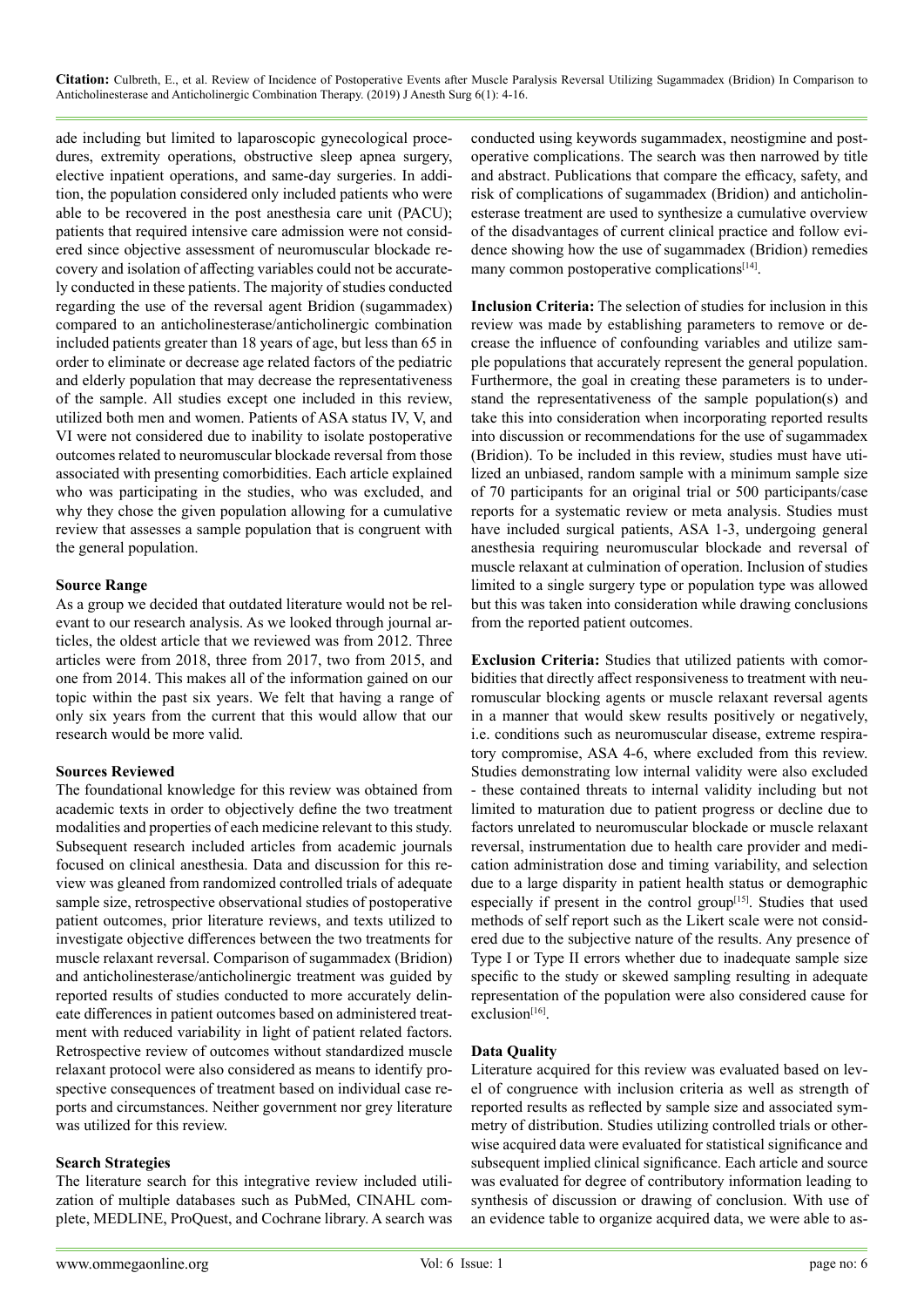ade including but limited to laparoscopic gynecological procedures, extremity operations, obstructive sleep apnea surgery, elective inpatient operations, and same-day surgeries. In addition, the population considered only included patients who were able to be recovered in the post anesthesia care unit (PACU); patients that required intensive care admission were not considered since objective assessment of neuromuscular blockade recovery and isolation of affecting variables could not be accurately conducted in these patients. The majority of studies conducted regarding the use of the reversal agent Bridion (sugammadex) compared to an anticholinesterase/anticholinergic combination included patients greater than 18 years of age, but less than 65 in order to eliminate or decrease age related factors of the pediatric and elderly population that may decrease the representativeness of the sample. All studies except one included in this review, utilized both men and women. Patients of ASA status IV, V, and VI were not considered due to inability to isolate postoperative outcomes related to neuromuscular blockade reversal from those associated with presenting comorbidities. Each article explained who was participating in the studies, who was excluded, and why they chose the given population allowing for a cumulative review that assesses a sample population that is congruent with the general population.

#### **Source Range**

As a group we decided that outdated literature would not be relevant to our research analysis. As we looked through journal articles, the oldest article that we reviewed was from 2012. Three articles were from 2018, three from 2017, two from 2015, and one from 2014. This makes all of the information gained on our topic within the past six years. We felt that having a range of only six years from the current that this would allow that our research would be more valid.

#### **Sources Reviewed**

The foundational knowledge for this review was obtained from academic texts in order to objectively define the two treatment modalities and properties of each medicine relevant to this study. Subsequent research included articles from academic journals focused on clinical anesthesia. Data and discussion for this review was gleaned from randomized controlled trials of adequate sample size, retrospective observational studies of postoperative patient outcomes, prior literature reviews, and texts utilized to investigate objective differences between the two treatments for muscle relaxant reversal. Comparison of sugammadex (Bridion) and anticholinesterase/anticholinergic treatment was guided by reported results of studies conducted to more accurately delineate differences in patient outcomes based on administered treatment with reduced variability in light of patient related factors. Retrospective review of outcomes without standardized muscle relaxant protocol were also considered as means to identify prospective consequences of treatment based on individual case reports and circumstances. Neither government nor grey literature was utilized for this review.

#### **Search Strategies**

The literature search for this integrative review included utilization of multiple databases such as PubMed, CINAHL complete, MEDLINE, ProQuest, and Cochrane library. A search was conducted using keywords sugammadex, neostigmine and postoperative complications. The search was then narrowed by title and abstract. Publications that compare the efficacy, safety, and risk of complications of sugammadex (Bridion) and anticholinesterase treatment are used to synthesize a cumulative overview of the disadvantages of current clinical practice and follow evidence showing how the use of sugammadex (Bridion) remedies many common postoperative complications<sup>[14]</sup>.

**Inclusion Criteria:** The selection of studies for inclusion in this review was made by establishing parameters to remove or decrease the influence of confounding variables and utilize sample populations that accurately represent the general population. Furthermore, the goal in creating these parameters is to understand the representativeness of the sample population(s) and take this into consideration when incorporating reported results into discussion or recommendations for the use of sugammadex (Bridion). To be included in this review, studies must have utilized an unbiased, random sample with a minimum sample size of 70 participants for an original trial or 500 participants/case reports for a systematic review or meta analysis. Studies must have included surgical patients, ASA 1-3, undergoing general anesthesia requiring neuromuscular blockade and reversal of muscle relaxant at culmination of operation. Inclusion of studies limited to a single surgery type or population type was allowed but this was taken into consideration while drawing conclusions from the reported patient outcomes.

**Exclusion Criteria:** Studies that utilized patients with comorbidities that directly affect responsiveness to treatment with neuromuscular blocking agents or muscle relaxant reversal agents in a manner that would skew results positively or negatively, i.e. conditions such as neuromuscular disease, extreme respiratory compromise, ASA 4-6, where excluded from this review. Studies demonstrating low internal validity were also excluded - these contained threats to internal validity including but not limited to maturation due to patient progress or decline due to factors unrelated to neuromuscular blockade or muscle relaxant reversal, instrumentation due to health care provider and medication administration dose and timing variability, and selection due to a large disparity in patient health status or demographic especially if present in the control group<sup>[15]</sup>. Studies that used methods of self report such as the Likert scale were not considered due to the subjective nature of the results. Any presence of Type I or Type II errors whether due to inadequate sample size specific to the study or skewed sampling resulting in adequate representation of the population were also considered cause for exclusion[\[16\].](#page-12-12)

#### **Data Quality**

Literature acquired for this review was evaluated based on level of congruence with inclusion criteria as well as strength of reported results as reflected by sample size and associated symmetry of distribution. Studies utilizing controlled trials or otherwise acquired data were evaluated for statistical significance and subsequent implied clinical significance. Each article and source was evaluated for degree of contributory information leading to synthesis of discussion or drawing of conclusion. With use of an evidence table to organize acquired data, we were able to as-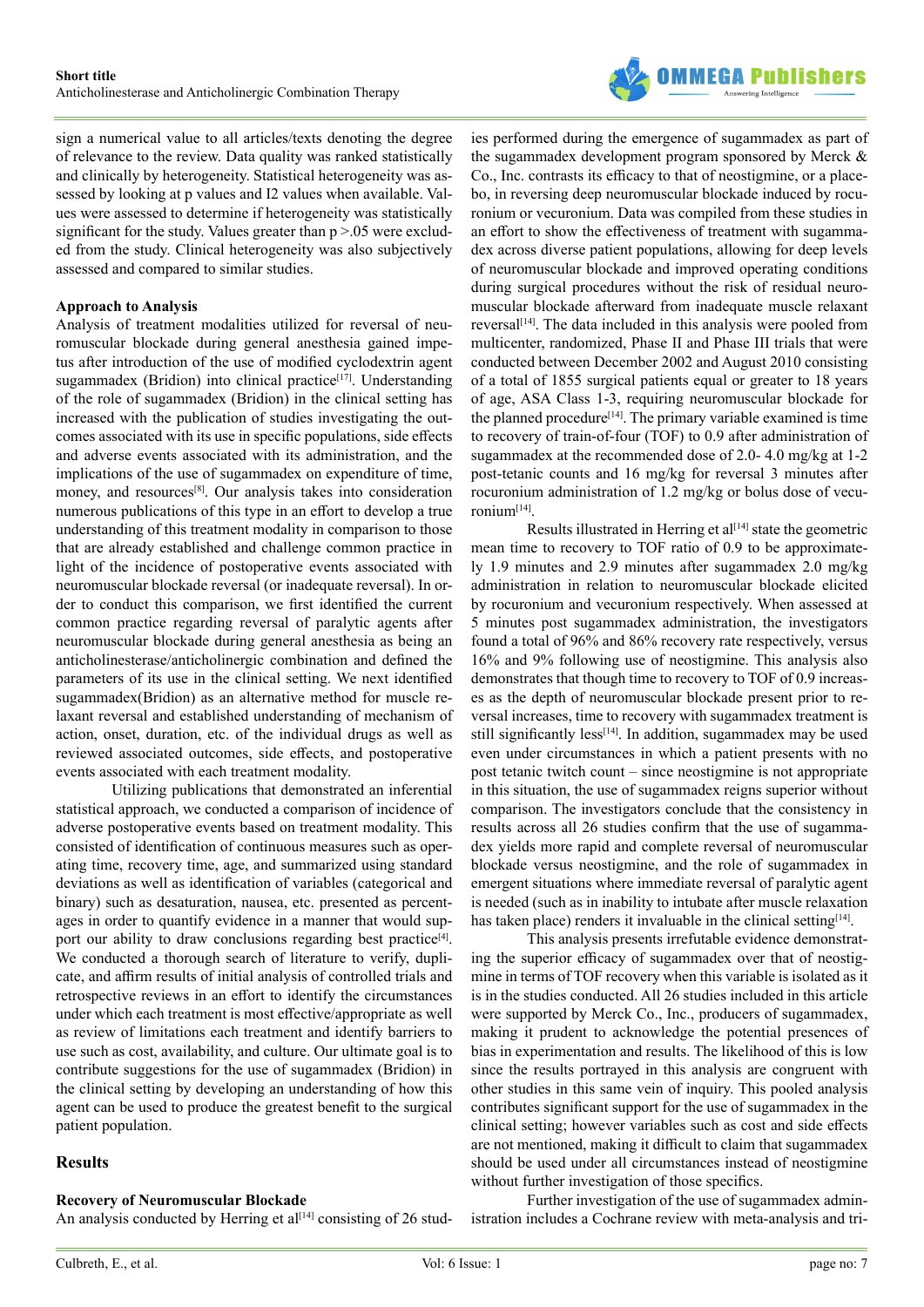

sign a numerical value to all articles/texts denoting the degree of relevance to the review. Data quality was ranked statistically and clinically by heterogeneity. Statistical heterogeneity was assessed by looking at p values and I2 values when available. Values were assessed to determine if heterogeneity was statistically significant for the study. Values greater than  $p > 0.05$  were excluded from the study. Clinical heterogeneity was also subjectively assessed and compared to similar studies.

#### **Approach to Analysis**

Analysis of treatment modalities utilized for reversal of neuromuscular blockade during general anesthesia gained impetus after introduction of the use of modified cyclodextrin agent sugammadex (Bridion) into clinical practice<sup>[17]</sup>. Understanding of the role of sugammadex (Bridion) in the clinical setting has increased with the publication of studies investigating the outcomes associated with its use in specific populations, side effects and adverse events associated with its administration, and the implications of the use of sugammadex on expenditure of time, money, and resources<sup>[8]</sup>. Our analysis takes into consideration numerous publications of this type in an effort to develop a true understanding of this treatment modality in comparison to those that are already established and challenge common practice in light of the incidence of postoperative events associated with neuromuscular blockade reversal (or inadequate reversal). In order to conduct this comparison, we first identified the current common practice regarding reversal of paralytic agents after neuromuscular blockade during general anesthesia as being an anticholinesterase/anticholinergic combination and defined the parameters of its use in the clinical setting. We next identified sugammadex(Bridion) as an alternative method for muscle relaxant reversal and established understanding of mechanism of action, onset, duration, etc. of the individual drugs as well as reviewed associated outcomes, side effects, and postoperative events associated with each treatment modality.

Utilizing publications that demonstrated an inferential statistical approach, we conducted a comparison of incidence of adverse postoperative events based on treatment modality. This consisted of identification of continuous measures such as operating time, recovery time, age, and summarized using standard deviations as well as identification of variables (categorical and binary) such as desaturation, nausea, etc. presented as percentages in order to quantify evidence in a manner that would support our ability to draw conclusions regarding best practice<sup>[4]</sup>. We conducted a thorough search of literature to verify, duplicate, and affirm results of initial analysis of controlled trials and retrospective reviews in an effort to identify the circumstances under which each treatment is most effective/appropriate as well as review of limitations each treatment and identify barriers to use such as cost, availability, and culture. Our ultimate goal is to contribute suggestions for the use of sugammadex (Bridion) in the clinical setting by developing an understanding of how this agent can be used to produce the greatest benefit to the surgical patient population.

## **Results**

## **Recovery of Neuromuscular Blockade**

An analysis conducted by Herring et al<sup>[\[14\]](#page-12-10)</sup> consisting of 26 stud-

ies performed during the emergence of sugammadex as part of the sugammadex development program sponsored by Merck & Co., Inc. contrasts its efficacy to that of neostigmine, or a placebo, in reversing deep neuromuscular blockade induced by rocuronium or vecuronium. Data was compiled from these studies in an effort to show the effectiveness of treatment with sugammadex across diverse patient populations, allowing for deep levels of neuromuscular blockade and improved operating conditions during surgical procedures without the risk of residual neuromuscular blockade afterward from inadequate muscle relaxant reversal<sup>[14]</sup>. The data included in this analysis were pooled from multicenter, randomized, Phase II and Phase III trials that were conducted between December 2002 and August 2010 consisting of a total of 1855 surgical patients equal or greater to 18 years of age, ASA Class 1-3, requiring neuromuscular blockade for the planned procedure<sup>[\[14\]](#page-12-10)</sup>. The primary variable examined is time to recovery of train-of-four (TOF) to 0.9 after administration of sugammadex at the recommended dose of 2.0- 4.0 mg/kg at 1-2 post-tetanic counts and 16 mg/kg for reversal 3 minutes after rocuronium administration of 1.2 mg/kg or bolus dose of vecuronium[\[14\]](#page-12-10).

Results illustrated in Herring et  $al<sup>[14]</sup>$  state the geometric mean time to recovery to TOF ratio of 0.9 to be approximately 1.9 minutes and 2.9 minutes after sugammadex 2.0 mg/kg administration in relation to neuromuscular blockade elicited by rocuronium and vecuronium respectively. When assessed at 5 minutes post sugammadex administration, the investigators found a total of 96% and 86% recovery rate respectively, versus 16% and 9% following use of neostigmine. This analysis also demonstrates that though time to recovery to TOF of 0.9 increases as the depth of neuromuscular blockade present prior to reversal increases, time to recovery with sugammadex treatment is still significantly less<sup>[\[14\]](#page-12-10)</sup>. In addition, sugammadex may be used even under circumstances in which a patient presents with no post tetanic twitch count – since neostigmine is not appropriate in this situation, the use of sugammadex reigns superior without comparison. The investigators conclude that the consistency in results across all 26 studies confirm that the use of sugammadex yields more rapid and complete reversal of neuromuscular blockade versus neostigmine, and the role of sugammadex in emergent situations where immediate reversal of paralytic agent is needed (such as in inability to intubate after muscle relaxation has taken place) renders it invaluable in the clinical setting $[14]$ .

This analysis presents irrefutable evidence demonstrating the superior efficacy of sugammadex over that of neostigmine in terms of TOF recovery when this variable is isolated as it is in the studies conducted. All 26 studies included in this article were supported by Merck Co., Inc., producers of sugammadex, making it prudent to acknowledge the potential presences of bias in experimentation and results. The likelihood of this is low since the results portrayed in this analysis are congruent with other studies in this same vein of inquiry. This pooled analysis contributes significant support for the use of sugammadex in the clinical setting; however variables such as cost and side effects are not mentioned, making it difficult to claim that sugammadex should be used under all circumstances instead of neostigmine without further investigation of those specifics.

Further investigation of the use of sugammadex administration includes a Cochrane review with meta-analysis and tri-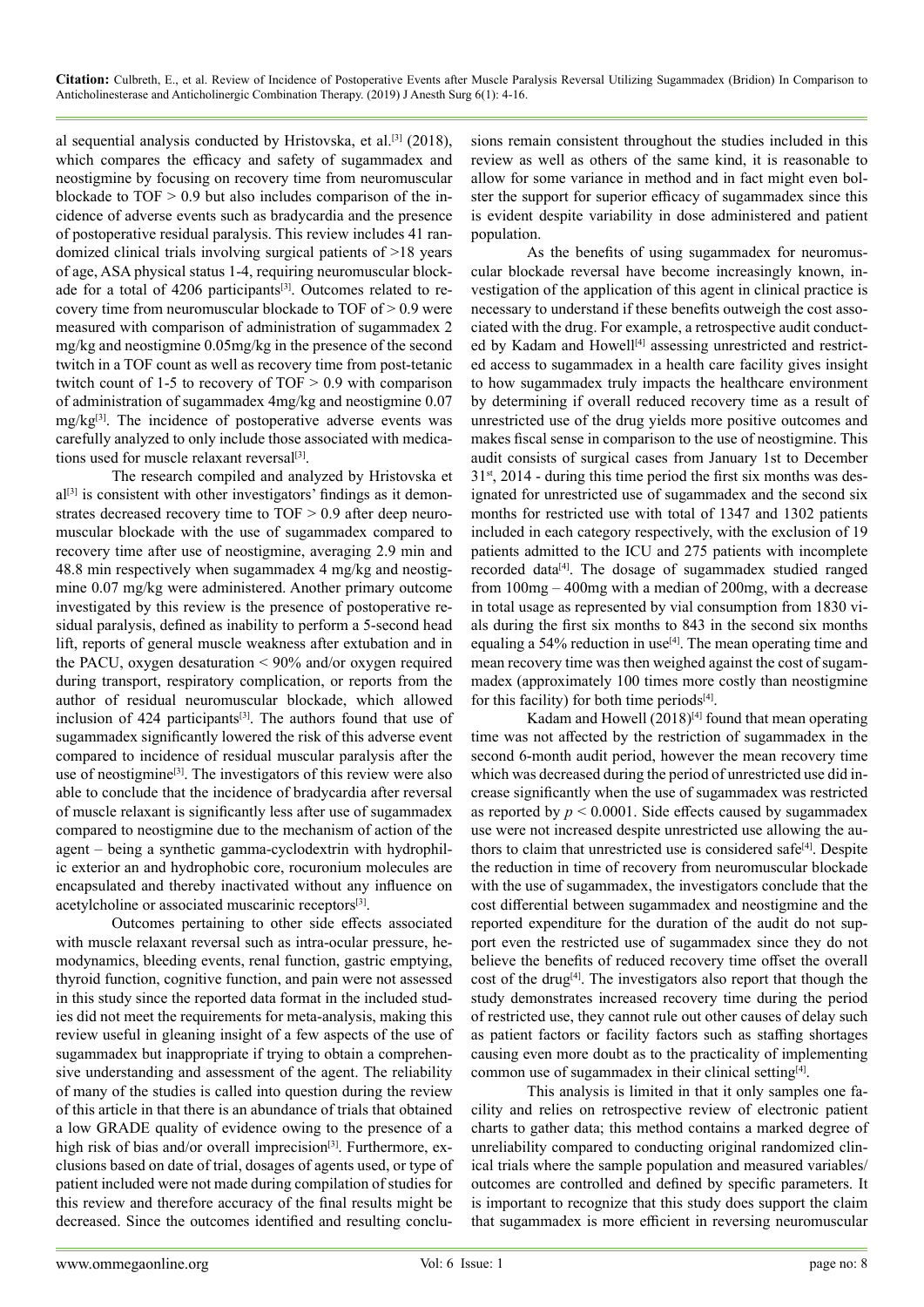al sequential analysis conducted by Hristovska, et al.[\[3\]](#page-12-1) (2018), which compares the efficacy and safety of sugammadex and neostigmine by focusing on recovery time from neuromuscular blockade to  $TOF > 0.9$  but also includes comparison of the incidence of adverse events such as bradycardia and the presence of postoperative residual paralysis. This review includes 41 randomized clinical trials involving surgical patients of >18 years of age, ASA physical status 1-4, requiring neuromuscular blockade for a total of 4206 participants<sup>[3]</sup>. Outcomes related to recovery time from neuromuscular blockade to TOF of > 0.9 were measured with comparison of administration of sugammadex 2 mg/kg and neostigmine 0.05mg/kg in the presence of the second twitch in a TOF count as well as recovery time from post-tetanic twitch count of 1-5 to recovery of TOF > 0.9 with comparison of administration of sugammadex 4mg/kg and neostigmine 0.07 mg/kg[\[3\]](#page-12-1). The incidence of postoperative adverse events was carefully analyzed to only include those associated with medications used for muscle relaxant reversal<sup>[3]</sup>.

The research compiled and analyzed by Hristovska et  $al^{[3]}$  is consistent with other investigators' findings as it demonstrates decreased recovery time to TOF > 0.9 after deep neuromuscular blockade with the use of sugammadex compared to recovery time after use of neostigmine, averaging 2.9 min and 48.8 min respectively when sugammadex 4 mg/kg and neostigmine 0.07 mg/kg were administered. Another primary outcome investigated by this review is the presence of postoperative residual paralysis, defined as inability to perform a 5-second head lift, reports of general muscle weakness after extubation and in the PACU, oxygen desaturation < 90% and/or oxygen required during transport, respiratory complication, or reports from the author of residual neuromuscular blockade, which allowed inclusion of 424 participants<sup>[3]</sup>. The authors found that use of sugammadex significantly lowered the risk of this adverse event compared to incidence of residual muscular paralysis after the use of neostigmine<sup>[3]</sup>. The investigators of this review were also able to conclude that the incidence of bradycardia after reversal of muscle relaxant is significantly less after use of sugammadex compared to neostigmine due to the mechanism of action of the agent – being a synthetic gamma-cyclodextrin with hydrophilic exterior an and hydrophobic core, rocuronium molecules are encapsulated and thereby inactivated without any influence on acetylcholine or associated muscarinic receptors<sup>[3]</sup>.

Outcomes pertaining to other side effects associated with muscle relaxant reversal such as intra-ocular pressure, hemodynamics, bleeding events, renal function, gastric emptying, thyroid function, cognitive function, and pain were not assessed in this study since the reported data format in the included studies did not meet the requirements for meta-analysis, making this review useful in gleaning insight of a few aspects of the use of sugammadex but inappropriate if trying to obtain a comprehensive understanding and assessment of the agent. The reliability of many of the studies is called into question during the review of this article in that there is an abundance of trials that obtained a low GRADE quality of evidence owing to the presence of a high risk of bias and/or overall imprecision<sup>[3]</sup>. Furthermore, exclusions based on date of trial, dosages of agents used, or type of patient included were not made during compilation of studies for this review and therefore accuracy of the final results might be decreased. Since the outcomes identified and resulting conclusions remain consistent throughout the studies included in this review as well as others of the same kind, it is reasonable to allow for some variance in method and in fact might even bolster the support for superior efficacy of sugammadex since this is evident despite variability in dose administered and patient population.

As the benefits of using sugammadex for neuromuscular blockade reversal have become increasingly known, investigation of the application of this agent in clinical practice is necessary to understand if these benefits outweigh the cost associated with the drug. For example, a retrospective audit conducted by Kadam and Howell<sup>[4]</sup> assessing unrestricted and restricted access to sugammadex in a health care facility gives insight to how sugammadex truly impacts the healthcare environment by determining if overall reduced recovery time as a result of unrestricted use of the drug yields more positive outcomes and makes fiscal sense in comparison to the use of neostigmine. This audit consists of surgical cases from January 1st to December  $31<sup>st</sup>$ , 2014 - during this time period the first six months was designated for unrestricted use of sugammadex and the second six months for restricted use with total of 1347 and 1302 patients included in each category respectively, with the exclusion of 19 patients admitted to the ICU and 275 patients with incomplete recorded data<sup>[4]</sup>. The dosage of sugammadex studied ranged from 100mg – 400mg with a median of 200mg, with a decrease in total usage as represented by vial consumption from 1830 vials during the first six months to 843 in the second six months equaling a 54% reduction in use<sup>[4]</sup>. The mean operating time and mean recovery time was then weighed against the cost of sugammadex (approximately 100 times more costly than neostigmine for this facility) for both time periods<sup>[4]</sup>.

Kadam and Howell (2018)<sup>[4]</sup> found that mean operating time was not affected by the restriction of sugammadex in the second 6-month audit period, however the mean recovery time which was decreased during the period of unrestricted use did increase significantly when the use of sugammadex was restricted as reported by  $p < 0.0001$ . Side effects caused by sugammadex use were not increased despite unrestricted use allowing the authors to claim that unrestricted use is considered safe<sup>[4]</sup>. Despite the reduction in time of recovery from neuromuscular blockade with the use of sugammadex, the investigators conclude that the cost differential between sugammadex and neostigmine and the reported expenditure for the duration of the audit do not support even the restricted use of sugammadex since they do not believe the benefits of reduced recovery time offset the overall cost of the drug<sup>[\[4\]](#page-12-14)</sup>. The investigators also report that though the study demonstrates increased recovery time during the period of restricted use, they cannot rule out other causes of delay such as patient factors or facility factors such as staffing shortages causing even more doubt as to the practicality of implementing common use of sugammadex in their clinical setting[\[4\].](#page-12-14)

This analysis is limited in that it only samples one facility and relies on retrospective review of electronic patient charts to gather data; this method contains a marked degree of unreliability compared to conducting original randomized clinical trials where the sample population and measured variables/ outcomes are controlled and defined by specific parameters. It is important to recognize that this study does support the claim that sugammadex is more efficient in reversing neuromuscular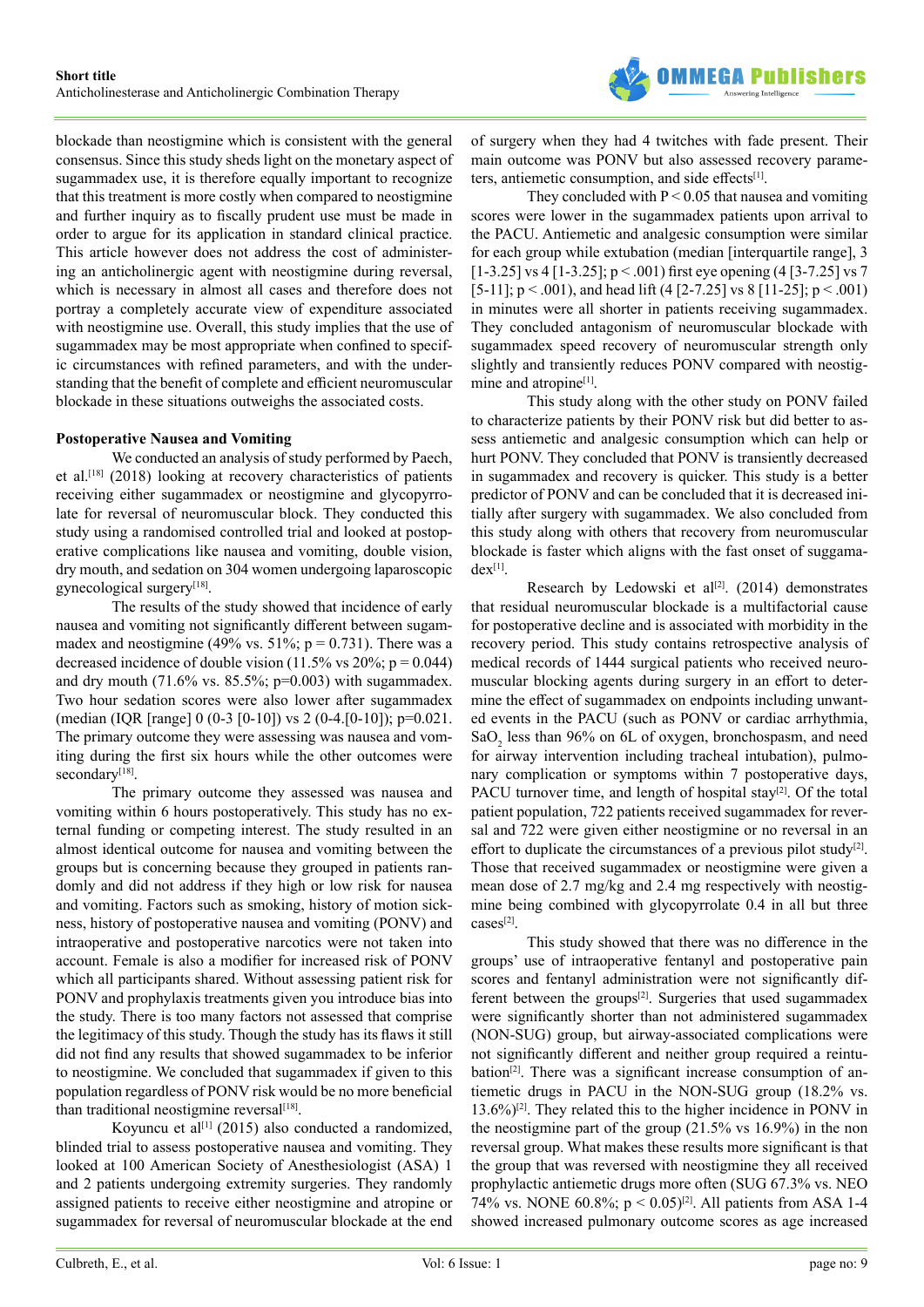

blockade than neostigmine which is consistent with the general consensus. Since this study sheds light on the monetary aspect of sugammadex use, it is therefore equally important to recognize that this treatment is more costly when compared to neostigmine and further inquiry as to fiscally prudent use must be made in order to argue for its application in standard clinical practice. This article however does not address the cost of administering an anticholinergic agent with neostigmine during reversal, which is necessary in almost all cases and therefore does not portray a completely accurate view of expenditure associated with neostigmine use. Overall, this study implies that the use of sugammadex may be most appropriate when confined to specific circumstances with refined parameters, and with the understanding that the benefit of complete and efficient neuromuscular blockade in these situations outweighs the associated costs.

#### **Postoperative Nausea and Vomiting**

We conducted an analysis of study performed by Paech, et al[.\[18\]](#page-12-15) (2018) looking at recovery characteristics of patients receiving either sugammadex or neostigmine and glycopyrrolate for reversal of neuromuscular block. They conducted this study using a randomised controlled trial and looked at postoperative complications like nausea and vomiting, double vision, dry mouth, and sedation on 304 women undergoing laparoscopic gynecological surger[y\[18\]](#page-12-15).

The results of the study showed that incidence of early nausea and vomiting not significantly different between sugammadex and neostigmine (49% vs. 51%;  $p = 0.731$ ). There was a decreased incidence of double vision (11.5% vs 20%;  $p = 0.044$ ) and dry mouth (71.6% vs. 85.5%; p=0.003) with sugammadex. Two hour sedation scores were also lower after sugammadex (median (IQR [range] 0 (0-3 [0-10]) vs 2 (0-4.[0-10]); p=0.021. The primary outcome they were assessing was nausea and vomiting during the first six hours while the other outcomes were secondary<sup>[\[18\]](#page-12-15)</sup>.

The primary outcome they assessed was nausea and vomiting within 6 hours postoperatively. This study has no external funding or competing interest. The study resulted in an almost identical outcome for nausea and vomiting between the groups but is concerning because they grouped in patients randomly and did not address if they high or low risk for nausea and vomiting. Factors such as smoking, history of motion sickness, history of postoperative nausea and vomiting (PONV) and intraoperative and postoperative narcotics were not taken into account. Female is also a modifier for increased risk of PONV which all participants shared. Without assessing patient risk for PONV and prophylaxis treatments given you introduce bias into the study. There is too many factors not assessed that comprise the legitimacy of this study. Though the study has its flaws it still did not find any results that showed sugammadex to be inferior to neostigmine. We concluded that sugammadex if given to this population regardless of PONV risk would be no more beneficial than traditional neostigmine reversal $[18]$ .

Koyuncu et al<sup>[1]</sup> (2015) also conducted a randomized, blinded trial to assess postoperative nausea and vomiting. They looked at 100 American Society of Anesthesiologist (ASA) 1 and 2 patients undergoing extremity surgeries. They randomly assigned patients to receive either neostigmine and atropine or sugammadex for reversal of neuromuscular blockade at the end of surgery when they had 4 twitches with fade present. Their main outcome was PONV but also assessed recovery parame-ters, antiemetic consumption, and side effects<sup>[\[1\]](#page-12-0)</sup>.

They concluded with  $P < 0.05$  that nausea and vomiting scores were lower in the sugammadex patients upon arrival to the PACU. Antiemetic and analgesic consumption were similar for each group while extubation (median [interquartile range], 3  $[1-3.25]$  vs 4  $[1-3.25]$ ; p < .001) first eye opening (4  $[3-7.25]$  vs 7 [5-11];  $p < .001$ ), and head lift (4 [2-7.25] vs 8 [11-25];  $p < .001$ ) in minutes were all shorter in patients receiving sugammadex. They concluded antagonism of neuromuscular blockade with sugammadex speed recovery of neuromuscular strength only slightly and transiently reduces PONV compared with neostigmine and atropine<sup>[1]</sup>.

This study along with the other study on PONV failed to characterize patients by their PONV risk but did better to assess antiemetic and analgesic consumption which can help or hurt PONV. They concluded that PONV is transiently decreased in sugammadex and recovery is quicker. This study is a better predictor of PONV and can be concluded that it is decreased initially after surgery with sugammadex. We also concluded from this study along with others that recovery from neuromuscular blockade is faster which aligns with the fast onset of suggama $dex^{[1]}$ .

Research by Ledowski et al<sup>[2]</sup>. (2014) demonstrates that residual neuromuscular blockade is a multifactorial cause for postoperative decline and is associated with morbidity in the recovery period. This study contains retrospective analysis of medical records of 1444 surgical patients who received neuromuscular blocking agents during surgery in an effort to determine the effect of sugammadex on endpoints including unwanted events in the PACU (such as PONV or cardiac arrhythmia, SaO<sub>2</sub> less than 96% on 6L of oxygen, bronchospasm, and need for airway intervention including tracheal intubation), pulmonary complication or symptoms within 7 postoperative days, PACU turnover time, and length of hospital stay<sup>[2]</sup>. Of the total patient population, 722 patients received sugammadex for reversal and 722 were given either neostigmine or no reversal in an effort to duplicate the circumstances of a previous pilot study<sup>[2]</sup>. Those that received sugammadex or neostigmine were given a mean dose of 2.7 mg/kg and 2.4 mg respectively with neostigmine being combined with glycopyrrolate 0.4 in all but three cases[\[2\].](#page-12-16)

This study showed that there was no difference in the groups' use of intraoperative fentanyl and postoperative pain scores and fentanyl administration were not significantly different between the groups<sup>[2]</sup>. Surgeries that used sugammadex were significantly shorter than not administered sugammadex (NON-SUG) group, but airway-associated complications were not significantly different and neither group required a reintu-bation<sup>[\[2\]](#page-12-16)</sup>. There was a significant increase consumption of antiemetic drugs in PACU in the NON-SUG group (18.2% vs. 13.6%)[\[2\]](#page-12-16). They related this to the higher incidence in PONV in the neostigmine part of the group (21.5% vs 16.9%) in the non reversal group. What makes these results more significant is that the group that was reversed with neostigmine they all received prophylactic antiemetic drugs more often (SUG 67.3% vs. NEO 74% vs. NONE 60.8%; p < 0.05)[\[2\]](#page-12-16). All patients from ASA 1-4 showed increased pulmonary outcome scores as age increased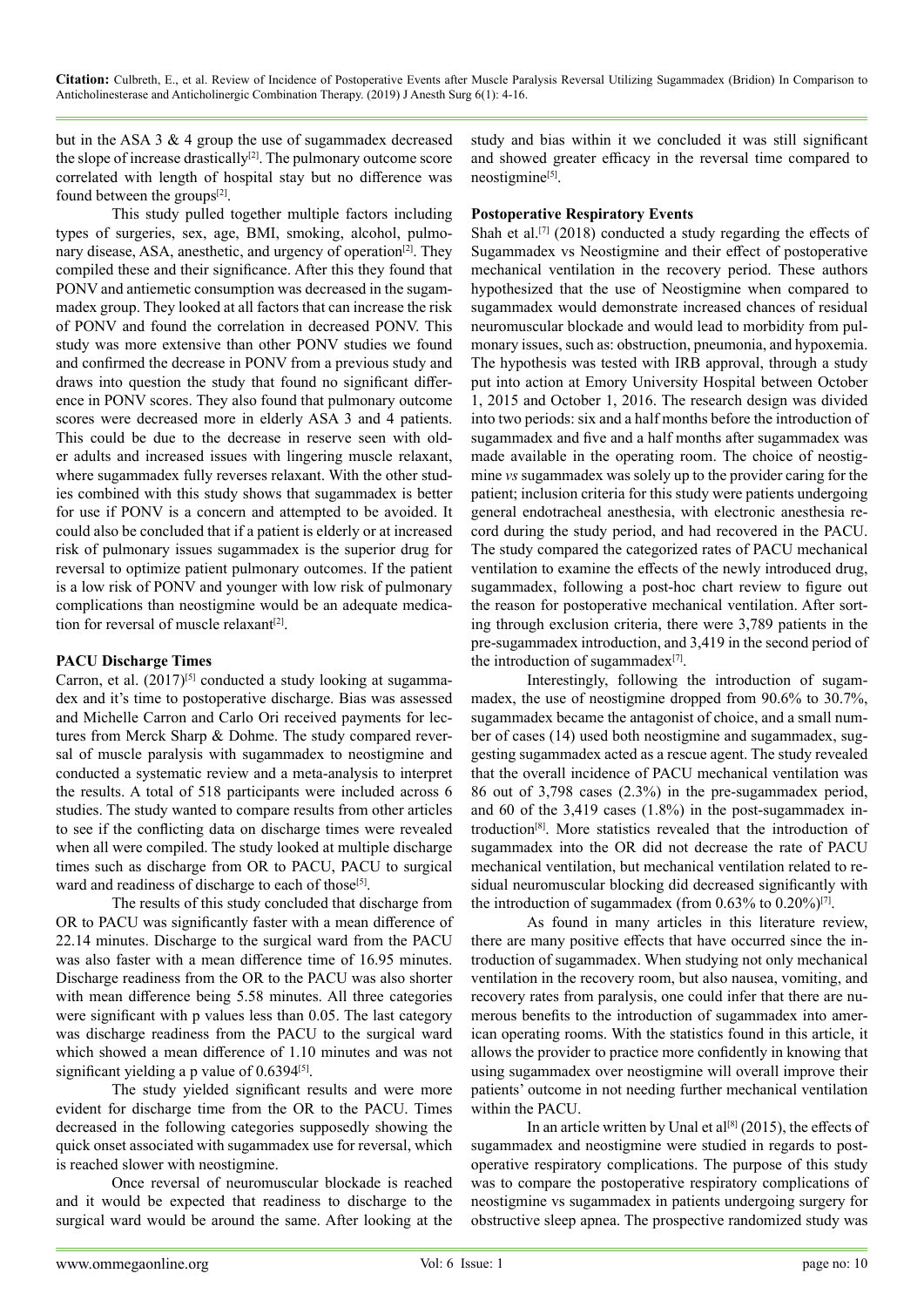but in the ASA 3 & 4 group the use of sugammadex decreased the slope of increase drastically $[2]$ . The pulmonary outcome score correlated with length of hospital stay but no difference was found between the groups<sup>[\[2\]](#page-12-16)</sup>.

This study pulled together multiple factors including types of surgeries, sex, age, BMI, smoking, alcohol, pulmonary disease, ASA, anesthetic, and urgency of operation<sup>[2]</sup>. They compiled these and their significance. After this they found that PONV and antiemetic consumption was decreased in the sugammadex group. They looked at all factors that can increase the risk of PONV and found the correlation in decreased PONV. This study was more extensive than other PONV studies we found and confirmed the decrease in PONV from a previous study and draws into question the study that found no significant difference in PONV scores. They also found that pulmonary outcome scores were decreased more in elderly ASA 3 and 4 patients. This could be due to the decrease in reserve seen with older adults and increased issues with lingering muscle relaxant, where sugammadex fully reverses relaxant. With the other studies combined with this study shows that sugammadex is better for use if PONV is a concern and attempted to be avoided. It could also be concluded that if a patient is elderly or at increased risk of pulmonary issues sugammadex is the superior drug for reversal to optimize patient pulmonary outcomes. If the patient is a low risk of PONV and younger with low risk of pulmonary complications than neostigmine would be an adequate medication for reversal of muscle relaxant $[2]$ .

#### **PACU Discharge Times**

Carron, et al.  $(2017)^{5}$  conducted a study looking at sugammadex and it's time to postoperative discharge. Bias was assessed and Michelle Carron and Carlo Ori received payments for lectures from Merck Sharp & Dohme. The study compared reversal of muscle paralysis with sugammadex to neostigmine and conducted a systematic review and a meta-analysis to interpret the results. A total of 518 participants were included across 6 studies. The study wanted to compare results from other articles to see if the conflicting data on discharge times were revealed when all were compiled. The study looked at multiple discharge times such as discharge from OR to PACU, PACU to surgical ward and readiness of discharge to each of those<sup>[\[5\]](#page-12-2)</sup>.

The results of this study concluded that discharge from OR to PACU was significantly faster with a mean difference of 22.14 minutes. Discharge to the surgical ward from the PACU was also faster with a mean difference time of 16.95 minutes. Discharge readiness from the OR to the PACU was also shorter with mean difference being 5.58 minutes. All three categories were significant with p values less than 0.05. The last category was discharge readiness from the PACU to the surgical ward which showed a mean difference of 1.10 minutes and was not significant yielding a p value of  $0.6394^{[5]}$  $0.6394^{[5]}$  $0.6394^{[5]}$ .

The study yielded significant results and were more evident for discharge time from the OR to the PACU. Times decreased in the following categories supposedly showing the quick onset associated with sugammadex use for reversal, which is reached slower with neostigmine.

Once reversal of neuromuscular blockade is reached and it would be expected that readiness to discharge to the surgical ward would be around the same. After looking at the study and bias within it we concluded it was still significant and showed greater efficacy in the reversal time compared to neostigmine<sup>[\[5\]](#page-12-2)</sup>.

#### **Postoperative Respiratory Events**

Shah et al.<sup>[7]</sup> (2018) conducted a study regarding the effects of Sugammadex vs Neostigmine and their effect of postoperative mechanical ventilation in the recovery period. These authors hypothesized that the use of Neostigmine when compared to sugammadex would demonstrate increased chances of residual neuromuscular blockade and would lead to morbidity from pulmonary issues, such as: obstruction, pneumonia, and hypoxemia. The hypothesis was tested with IRB approval, through a study put into action at Emory University Hospital between October 1, 2015 and October 1, 2016. The research design was divided into two periods: six and a half months before the introduction of sugammadex and five and a half months after sugammadex was made available in the operating room. The choice of neostigmine *vs* sugammadex was solely up to the provider caring for the patient; inclusion criteria for this study were patients undergoing general endotracheal anesthesia, with electronic anesthesia record during the study period, and had recovered in the PACU. The study compared the categorized rates of PACU mechanical ventilation to examine the effects of the newly introduced drug, sugammadex, following a post-hoc chart review to figure out the reason for postoperative mechanical ventilation. After sorting through exclusion criteria, there were 3,789 patients in the pre-sugammadex introduction, and 3,419 in the second period of the introduction of sugammadex $[7]$ .

Interestingly, following the introduction of sugammadex, the use of neostigmine dropped from 90.6% to 30.7%, sugammadex became the antagonist of choice, and a small number of cases (14) used both neostigmine and sugammadex, suggesting sugammadex acted as a rescue agent. The study revealed that the overall incidence of PACU mechanical ventilation was 86 out of 3,798 cases (2.3%) in the pre-sugammadex period, and 60 of the 3,419 cases (1.8%) in the post-sugammadex introduction[\[8\].](#page-12-4) More statistics revealed that the introduction of sugammadex into the OR did not decrease the rate of PACU mechanical ventilation, but mechanical ventilation related to residual neuromuscular blocking did decreased significantly with the introduction of sugammadex (from  $0.63\%$  to  $0.20\%$ )<sup>[7]</sup>.

As found in many articles in this literature review, there are many positive effects that have occurred since the introduction of sugammadex. When studying not only mechanical ventilation in the recovery room, but also nausea, vomiting, and recovery rates from paralysis, one could infer that there are numerous benefits to the introduction of sugammadex into american operating rooms. With the statistics found in this article, it allows the provider to practice more confidently in knowing that using sugammadex over neostigmine will overall improve their patients' outcome in not needing further mechanical ventilation within the PACU.

In an article written by Unal et al<sup>[\[8\]](#page-12-4)</sup> (2015), the effects of sugammadex and neostigmine were studied in regards to postoperative respiratory complications. The purpose of this study was to compare the postoperative respiratory complications of neostigmine vs sugammadex in patients undergoing surgery for obstructive sleep apnea. The prospective randomized study was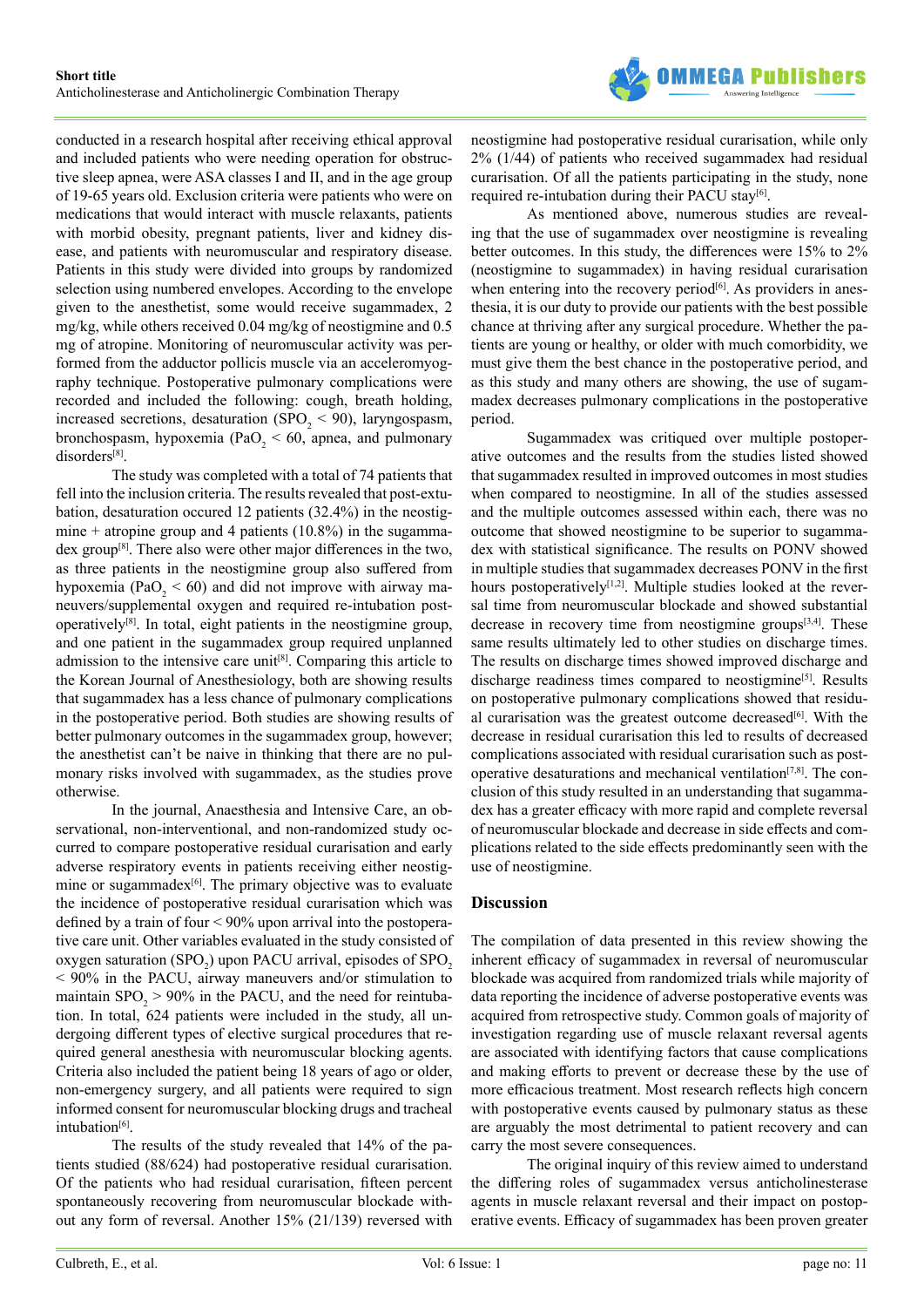

conducted in a research hospital after receiving ethical approval and included patients who were needing operation for obstructive sleep apnea, were ASA classes I and II, and in the age group of 19-65 years old. Exclusion criteria were patients who were on medications that would interact with muscle relaxants, patients with morbid obesity, pregnant patients, liver and kidney disease, and patients with neuromuscular and respiratory disease. Patients in this study were divided into groups by randomized selection using numbered envelopes. According to the envelope given to the anesthetist, some would receive sugammadex, 2 mg/kg, while others received 0.04 mg/kg of neostigmine and 0.5 mg of atropine. Monitoring of neuromuscular activity was performed from the adductor pollicis muscle via an acceleromyography technique. Postoperative pulmonary complications were recorded and included the following: cough, breath holding, increased secretions, desaturation (SPO<sub>2</sub> < 90), laryngospasm, bronchospasm, hypoxemia (PaO<sub>2</sub> < 60, apnea, and pulmonary disorders[\[8\]](#page-12-4).

The study was completed with a total of 74 patients that fell into the inclusion criteria. The results revealed that post-extubation, desaturation occured 12 patients (32.4%) in the neostigmine + atropine group and 4 patients  $(10.8\%)$  in the sugammadex group<sup>[8]</sup>. There also were other major differences in the two, as three patients in the neostigmine group also suffered from hypoxemia ( $PaO<sub>2</sub> < 60$ ) and did not improve with airway maneuvers/supplemental oxygen and required re-intubation postoperatively[\[8\].](#page-12-4) In total, eight patients in the neostigmine group, and one patient in the sugammadex group required unplanned admission to the intensive care unit<sup>[8]</sup>. Comparing this article to the Korean Journal of Anesthesiology, both are showing results that sugammadex has a less chance of pulmonary complications in the postoperative period. Both studies are showing results of better pulmonary outcomes in the sugammadex group, however; the anesthetist can't be naive in thinking that there are no pulmonary risks involved with sugammadex, as the studies prove otherwise.

In the journal, Anaesthesia and Intensive Care, an observational, non-interventional, and non-randomized study occurred to compare postoperative residual curarisation and early adverse respiratory events in patients receiving either neostigmine or sugammadex<sup>[6]</sup>. The primary objective was to evaluate the incidence of postoperative residual curarisation which was defined by a train of four < 90% upon arrival into the postoperative care unit. Other variables evaluated in the study consisted of oxygen saturation (SPO<sub>2</sub>) upon PACU arrival, episodes of SPO<sub>2</sub> < 90% in the PACU, airway maneuvers and/or stimulation to maintain  $SPO<sub>2</sub> > 90\%$  in the PACU, and the need for reintubation. In total, 624 patients were included in the study, all undergoing different types of elective surgical procedures that required general anesthesia with neuromuscular blocking agents. Criteria also included the patient being 18 years of ago or older, non-emergency surgery, and all patients were required to sign informed consent for neuromuscular blocking drugs and tracheal intubation[\[6\]](#page-12-3).

The results of the study revealed that 14% of the patients studied (88/624) had postoperative residual curarisation. Of the patients who had residual curarisation, fifteen percent spontaneously recovering from neuromuscular blockade without any form of reversal. Another 15% (21/139) reversed with

neostigmine had postoperative residual curarisation, while only 2% (1/44) of patients who received sugammadex had residual curarisation. Of all the patients participating in the study, none required re-intubation during their PACU stay<sup>[6]</sup>.

As mentioned above, numerous studies are revealing that the use of sugammadex over neostigmine is revealing better outcomes. In this study, the differences were 15% to 2% (neostigmine to sugammadex) in having residual curarisation when entering into the recovery period<sup>[6]</sup>. As providers in anesthesia, it is our duty to provide our patients with the best possible chance at thriving after any surgical procedure. Whether the patients are young or healthy, or older with much comorbidity, we must give them the best chance in the postoperative period, and as this study and many others are showing, the use of sugammadex decreases pulmonary complications in the postoperative period.

Sugammadex was critiqued over multiple postoperative outcomes and the results from the studies listed showed that sugammadex resulted in improved outcomes in most studies when compared to neostigmine. In all of the studies assessed and the multiple outcomes assessed within each, there was no outcome that showed neostigmine to be superior to sugammadex with statistical significance. The results on PONV showed in multiple studies that sugammadex decreases PONV in the first hours postoperatively<sup>[1,2]</sup>. Multiple studies looked at the reversal time from neuromuscular blockade and showed substantial decrease in recovery time from neostigmine groups<sup>[\[3,4\]](#page-12-1)</sup>. These same results ultimately led to other studies on discharge times. The results on discharge times showed improved discharge and discharge readiness times compared to neostigmine<sup>[\[5\]](#page-12-2)</sup>. Results on postoperative pulmonary complications showed that residual curarisation was the greatest outcome decreased<sup>[6]</sup>. With the decrease in residual curarisation this led to results of decreased complications associated with residual curarisation such as postoperative desaturations and mechanical ventilation<sup>[7,8]</sup>. The conclusion of this study resulted in an understanding that sugammadex has a greater efficacy with more rapid and complete reversal of neuromuscular blockade and decrease in side effects and complications related to the side effects predominantly seen with the use of neostigmine.

#### **Discussion**

The compilation of data presented in this review showing the inherent efficacy of sugammadex in reversal of neuromuscular blockade was acquired from randomized trials while majority of data reporting the incidence of adverse postoperative events was acquired from retrospective study. Common goals of majority of investigation regarding use of muscle relaxant reversal agents are associated with identifying factors that cause complications and making efforts to prevent or decrease these by the use of more efficacious treatment. Most research reflects high concern with postoperative events caused by pulmonary status as these are arguably the most detrimental to patient recovery and can carry the most severe consequences.

The original inquiry of this review aimed to understand the differing roles of sugammadex versus anticholinesterase agents in muscle relaxant reversal and their impact on postoperative events. Efficacy of sugammadex has been proven greater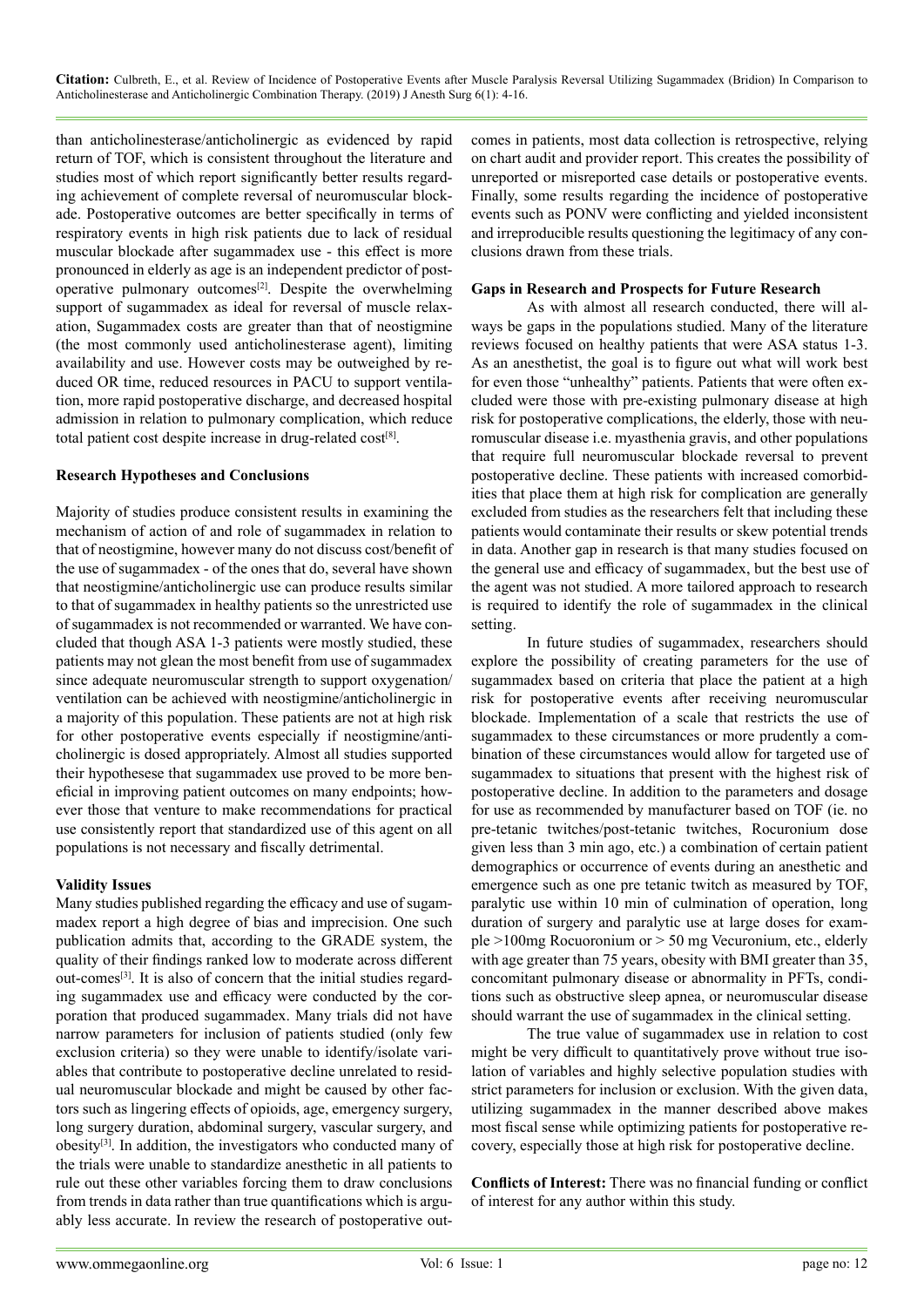than anticholinesterase/anticholinergic as evidenced by rapid return of TOF, which is consistent throughout the literature and studies most of which report significantly better results regarding achievement of complete reversal of neuromuscular blockade. Postoperative outcomes are better specifically in terms of respiratory events in high risk patients due to lack of residual muscular blockade after sugammadex use - this effect is more pronounced in elderly as age is an independent predictor of postoperative pulmonary outcomes[\[2\]](#page-12-16). Despite the overwhelming support of sugammadex as ideal for reversal of muscle relaxation, Sugammadex costs are greater than that of neostigmine (the most commonly used anticholinesterase agent), limiting availability and use. However costs may be outweighed by reduced OR time, reduced resources in PACU to support ventilation, more rapid postoperative discharge, and decreased hospital admission in relation to pulmonary complication, which reduce total patient cost despite increase in drug-related cos[t\[8\]](#page-12-4).

#### **Research Hypotheses and Conclusions**

Majority of studies produce consistent results in examining the mechanism of action of and role of sugammadex in relation to that of neostigmine, however many do not discuss cost/benefit of the use of sugammadex - of the ones that do, several have shown that neostigmine/anticholinergic use can produce results similar to that of sugammadex in healthy patients so the unrestricted use of sugammadex is not recommended or warranted. We have concluded that though ASA 1-3 patients were mostly studied, these patients may not glean the most benefit from use of sugammadex since adequate neuromuscular strength to support oxygenation/ ventilation can be achieved with neostigmine/anticholinergic in a majority of this population. These patients are not at high risk for other postoperative events especially if neostigmine/anticholinergic is dosed appropriately. Almost all studies supported their hypothesese that sugammadex use proved to be more beneficial in improving patient outcomes on many endpoints; however those that venture to make recommendations for practical use consistently report that standardized use of this agent on all populations is not necessary and fiscally detrimental.

#### **Validity Issues**

Many studies published regarding the efficacy and use of sugammadex report a high degree of bias and imprecision. One such publication admits that, according to the GRADE system, the quality of their findings ranked low to moderate across different out-comes[\[3\]](#page-12-1). It is also of concern that the initial studies regarding sugammadex use and efficacy were conducted by the corporation that produced sugammadex. Many trials did not have narrow parameters for inclusion of patients studied (only few exclusion criteria) so they were unable to identify/isolate variables that contribute to postoperative decline unrelated to residual neuromuscular blockade and might be caused by other factors such as lingering effects of opioids, age, emergency surgery, long surgery duration, abdominal surgery, vascular surgery, and obesity<sup>[3]</sup>. In addition, the investigators who conducted many of the trials were unable to standardize anesthetic in all patients to rule out these other variables forcing them to draw conclusions from trends in data rather than true quantifications which is arguably less accurate. In review the research of postoperative outcomes in patients, most data collection is retrospective, relying on chart audit and provider report. This creates the possibility of unreported or misreported case details or postoperative events. Finally, some results regarding the incidence of postoperative events such as PONV were conflicting and yielded inconsistent and irreproducible results questioning the legitimacy of any conclusions drawn from these trials.

#### **Gaps in Research and Prospects for Future Research**

As with almost all research conducted, there will always be gaps in the populations studied. Many of the literature reviews focused on healthy patients that were ASA status 1-3. As an anesthetist, the goal is to figure out what will work best for even those "unhealthy" patients. Patients that were often excluded were those with pre-existing pulmonary disease at high risk for postoperative complications, the elderly, those with neuromuscular disease i.e. myasthenia gravis, and other populations that require full neuromuscular blockade reversal to prevent postoperative decline. These patients with increased comorbidities that place them at high risk for complication are generally excluded from studies as the researchers felt that including these patients would contaminate their results or skew potential trends in data. Another gap in research is that many studies focused on the general use and efficacy of sugammadex, but the best use of the agent was not studied. A more tailored approach to research is required to identify the role of sugammadex in the clinical setting.

In future studies of sugammadex, researchers should explore the possibility of creating parameters for the use of sugammadex based on criteria that place the patient at a high risk for postoperative events after receiving neuromuscular blockade. Implementation of a scale that restricts the use of sugammadex to these circumstances or more prudently a combination of these circumstances would allow for targeted use of sugammadex to situations that present with the highest risk of postoperative decline. In addition to the parameters and dosage for use as recommended by manufacturer based on TOF (ie. no pre-tetanic twitches/post-tetanic twitches, Rocuronium dose given less than 3 min ago, etc.) a combination of certain patient demographics or occurrence of events during an anesthetic and emergence such as one pre tetanic twitch as measured by TOF, paralytic use within 10 min of culmination of operation, long duration of surgery and paralytic use at large doses for example >100mg Rocuoronium or > 50 mg Vecuronium, etc., elderly with age greater than 75 years, obesity with BMI greater than 35, concomitant pulmonary disease or abnormality in PFTs, conditions such as obstructive sleep apnea, or neuromuscular disease should warrant the use of sugammadex in the clinical setting.

The true value of sugammadex use in relation to cost might be very difficult to quantitatively prove without true isolation of variables and highly selective population studies with strict parameters for inclusion or exclusion. With the given data, utilizing sugammadex in the manner described above makes most fiscal sense while optimizing patients for postoperative recovery, especially those at high risk for postoperative decline.

**Conflicts of Interest:** There was no financial funding or conflict of interest for any author within this study.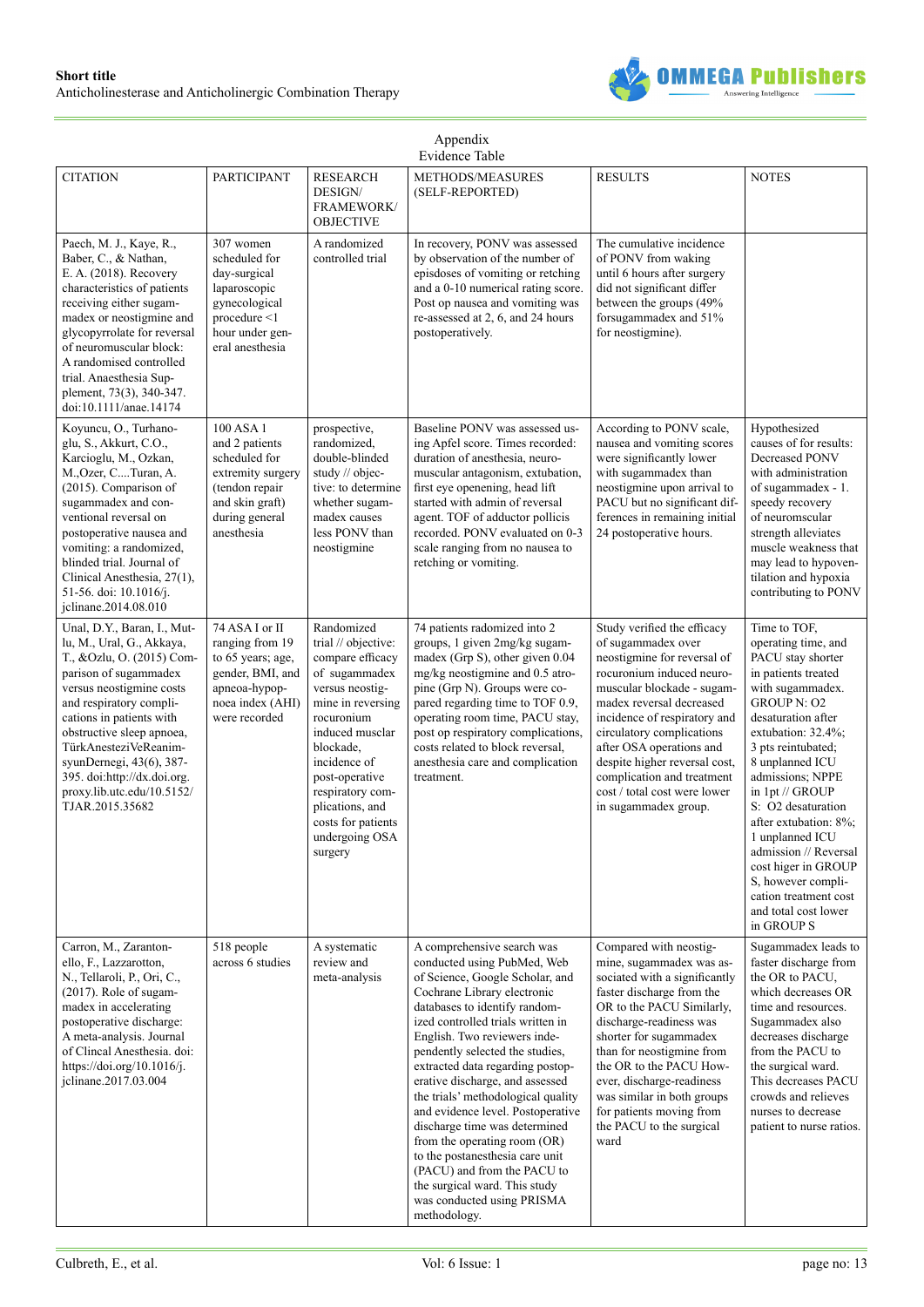

| Appendix<br>Evidence Table                                                                                                                                                                                                                                                                                                                                          |                                                                                                                                        |                                                                                                                                                                                                                                                                                          |                                                                                                                                                                                                                                                                                                                                                                                                                                                                                                                                                                                                                                          |                                                                                                                                                                                                                                                                                                                                                                                         |                                                                                                                                                                                                                                                                                                                                                                                                                                                              |  |
|---------------------------------------------------------------------------------------------------------------------------------------------------------------------------------------------------------------------------------------------------------------------------------------------------------------------------------------------------------------------|----------------------------------------------------------------------------------------------------------------------------------------|------------------------------------------------------------------------------------------------------------------------------------------------------------------------------------------------------------------------------------------------------------------------------------------|------------------------------------------------------------------------------------------------------------------------------------------------------------------------------------------------------------------------------------------------------------------------------------------------------------------------------------------------------------------------------------------------------------------------------------------------------------------------------------------------------------------------------------------------------------------------------------------------------------------------------------------|-----------------------------------------------------------------------------------------------------------------------------------------------------------------------------------------------------------------------------------------------------------------------------------------------------------------------------------------------------------------------------------------|--------------------------------------------------------------------------------------------------------------------------------------------------------------------------------------------------------------------------------------------------------------------------------------------------------------------------------------------------------------------------------------------------------------------------------------------------------------|--|
| <b>CITATION</b>                                                                                                                                                                                                                                                                                                                                                     | <b>PARTICIPANT</b>                                                                                                                     | <b>RESEARCH</b><br>DESIGN/<br><b>FRAMEWORK/</b><br><b>OBJECTIVE</b>                                                                                                                                                                                                                      | METHODS/MEASURES<br>(SELF-REPORTED)                                                                                                                                                                                                                                                                                                                                                                                                                                                                                                                                                                                                      | <b>RESULTS</b>                                                                                                                                                                                                                                                                                                                                                                          | <b>NOTES</b>                                                                                                                                                                                                                                                                                                                                                                                                                                                 |  |
| Paech, M. J., Kaye, R.,<br>Baber, C., & Nathan,<br>E. A. (2018). Recovery<br>characteristics of patients<br>receiving either sugam-<br>madex or neostigmine and<br>glycopyrrolate for reversal<br>of neuromuscular block:<br>A randomised controlled<br>trial. Anaesthesia Sup-<br>plement, 73(3), 340-347.<br>doi:10.1111/anae.14174                               | 307 women<br>scheduled for<br>day-surgical<br>laparoscopic<br>gynecological<br>procedure <1<br>hour under gen-<br>eral anesthesia      | A randomized<br>controlled trial                                                                                                                                                                                                                                                         | In recovery, PONV was assessed<br>by observation of the number of<br>episdoses of vomiting or retching<br>and a 0-10 numerical rating score.<br>Post op nausea and vomiting was<br>re-assessed at 2, 6, and 24 hours<br>postoperatively.                                                                                                                                                                                                                                                                                                                                                                                                 | The cumulative incidence<br>of PONV from waking<br>until 6 hours after surgery<br>did not significant differ<br>between the groups (49%<br>forsugammadex and 51%<br>for neostigmine).                                                                                                                                                                                                   |                                                                                                                                                                                                                                                                                                                                                                                                                                                              |  |
| Koyuncu, O., Turhano-<br>glu, S., Akkurt, C.O.,<br>Karcioglu, M., Ozkan,<br>M., Ozer, C Turan, A.<br>(2015). Comparison of<br>sugammadex and con-<br>ventional reversal on<br>postoperative nausea and<br>vomiting: a randomized,<br>blinded trial. Journal of<br>Clinical Anesthesia, 27(1),<br>51-56. doi: 10.1016/j.<br>jclinane.2014.08.010                     | 100 ASA 1<br>and 2 patients<br>scheduled for<br>extremity surgery<br>(tendon repair<br>and skin graft)<br>during general<br>anesthesia | prospective,<br>randomized,<br>double-blinded<br>study // objec-<br>tive: to determine<br>whether sugam-<br>madex causes<br>less PONV than<br>neostigmine                                                                                                                                | Baseline PONV was assessed us-<br>ing Apfel score. Times recorded:<br>duration of anesthesia, neuro-<br>muscular antagonism, extubation,<br>first eye openening, head lift<br>started with admin of reversal<br>agent. TOF of adductor pollicis<br>recorded. PONV evaluated on 0-3<br>scale ranging from no nausea to<br>retching or vomiting.                                                                                                                                                                                                                                                                                           | According to PONV scale,<br>nausea and vomiting scores<br>were significantly lower<br>with sugammadex than<br>neostigmine upon arrival to<br>PACU but no significant dif-<br>ferences in remaining initial<br>24 postoperative hours.                                                                                                                                                   | Hypothesized<br>causes of for results:<br>Decreased PONV<br>with administration<br>of sugammadex - 1.<br>speedy recovery<br>of neuromscular<br>strength alleviates<br>muscle weakness that<br>may lead to hypoven-<br>tilation and hypoxia<br>contributing to PONV                                                                                                                                                                                           |  |
| Unal, D.Y., Baran, I., Mut-<br>lu, M., Ural, G., Akkaya,<br>T., &Ozlu, O. (2015) Com-<br>parison of sugammadex<br>versus neostigmine costs<br>and respiratory compli-<br>cations in patients with<br>obstructive sleep apnoea,<br>TürkAnesteziVeReanim-<br>syunDernegi, 43(6), 387-<br>395. doi:http://dx.doi.org.<br>proxy.lib.utc.edu/10.5152/<br>TJAR.2015.35682 | 74 ASA I or II<br>ranging from 19<br>to 65 years; age,<br>gender, BMI, and<br>apneoa-hypop-<br>noea index (AHI)<br>were recorded       | Randomized<br>trial // objective:<br>compare efficacy<br>of sugammadex<br>versus neostig-<br>mine in reversing<br>rocuronium<br>induced musclar<br>blockade,<br>incidence of<br>post-operative<br>respiratory com-<br>plications, and<br>costs for patients<br>undergoing OSA<br>surgery | 74 patients radomized into 2<br>groups, 1 given 2mg/kg sugam-<br>madex (Grp S), other given 0.04<br>mg/kg neostigmine and 0.5 atro-<br>pine (Grp N). Groups were co-<br>pared regarding time to TOF 0.9,<br>operating room time, PACU stay,<br>post op respiratory complications,<br>costs related to block reversal,<br>anesthesia care and complication<br>treatment.                                                                                                                                                                                                                                                                  | Study verified the efficacy<br>of sugammadex over<br>neostigmine for reversal of<br>rocuronium induced neuro-<br>muscular blockade - sugam-<br>madex reversal decreased<br>incidence of respiratory and<br>circulatory complications<br>after OSA operations and<br>despite higher reversal cost,<br>complication and treatment<br>cost / total cost were lower<br>in sugammadex group. | Time to TOF,<br>operating time, and<br>PACU stay shorter<br>in patients treated<br>with sugammadex.<br><b>GROUP N: O2</b><br>desaturation after<br>extubation: 32.4%;<br>3 pts reintubated;<br>8 unplanned ICU<br>admissions; NPPE<br>in 1pt // GROUP<br>S: O2 desaturation<br>after extubation: 8%;<br>1 unplanned ICU<br>admission // Reversal<br>cost higer in GROUP<br>S, however compli-<br>cation treatment cost<br>and total cost lower<br>in GROUP S |  |
| Carron, M., Zaranton-<br>ello, F., Lazzarotton,<br>N., Tellaroli, P., Ori, C.,<br>(2017). Role of sugam-<br>madex in accelerating<br>postoperative discharge:<br>A meta-analysis. Journal<br>of Clincal Anesthesia. doi:<br>https://doi.org/10.1016/j.<br>jclinane.2017.03.004                                                                                      | 518 people<br>across 6 studies                                                                                                         | A systematic<br>review and<br>meta-analysis                                                                                                                                                                                                                                              | A comprehensive search was<br>conducted using PubMed, Web<br>of Science, Google Scholar, and<br>Cochrane Library electronic<br>databases to identify random-<br>ized controlled trials written in<br>English. Two reviewers inde-<br>pendently selected the studies,<br>extracted data regarding postop-<br>erative discharge, and assessed<br>the trials' methodological quality<br>and evidence level. Postoperative<br>discharge time was determined<br>from the operating room (OR)<br>to the postanesthesia care unit<br>(PACU) and from the PACU to<br>the surgical ward. This study<br>was conducted using PRISMA<br>methodology. | Compared with neostig-<br>mine, sugammadex was as-<br>sociated with a significantly<br>faster discharge from the<br>OR to the PACU Similarly,<br>discharge-readiness was<br>shorter for sugammadex<br>than for neostigmine from<br>the OR to the PACU How-<br>ever, discharge-readiness<br>was similar in both groups<br>for patients moving from<br>the PACU to the surgical<br>ward   | Sugammadex leads to<br>faster discharge from<br>the OR to PACU,<br>which decreases OR<br>time and resources.<br>Sugammadex also<br>decreases discharge<br>from the PACU to<br>the surgical ward.<br>This decreases PACU<br>crowds and relieves<br>nurses to decrease<br>patient to nurse ratios.                                                                                                                                                             |  |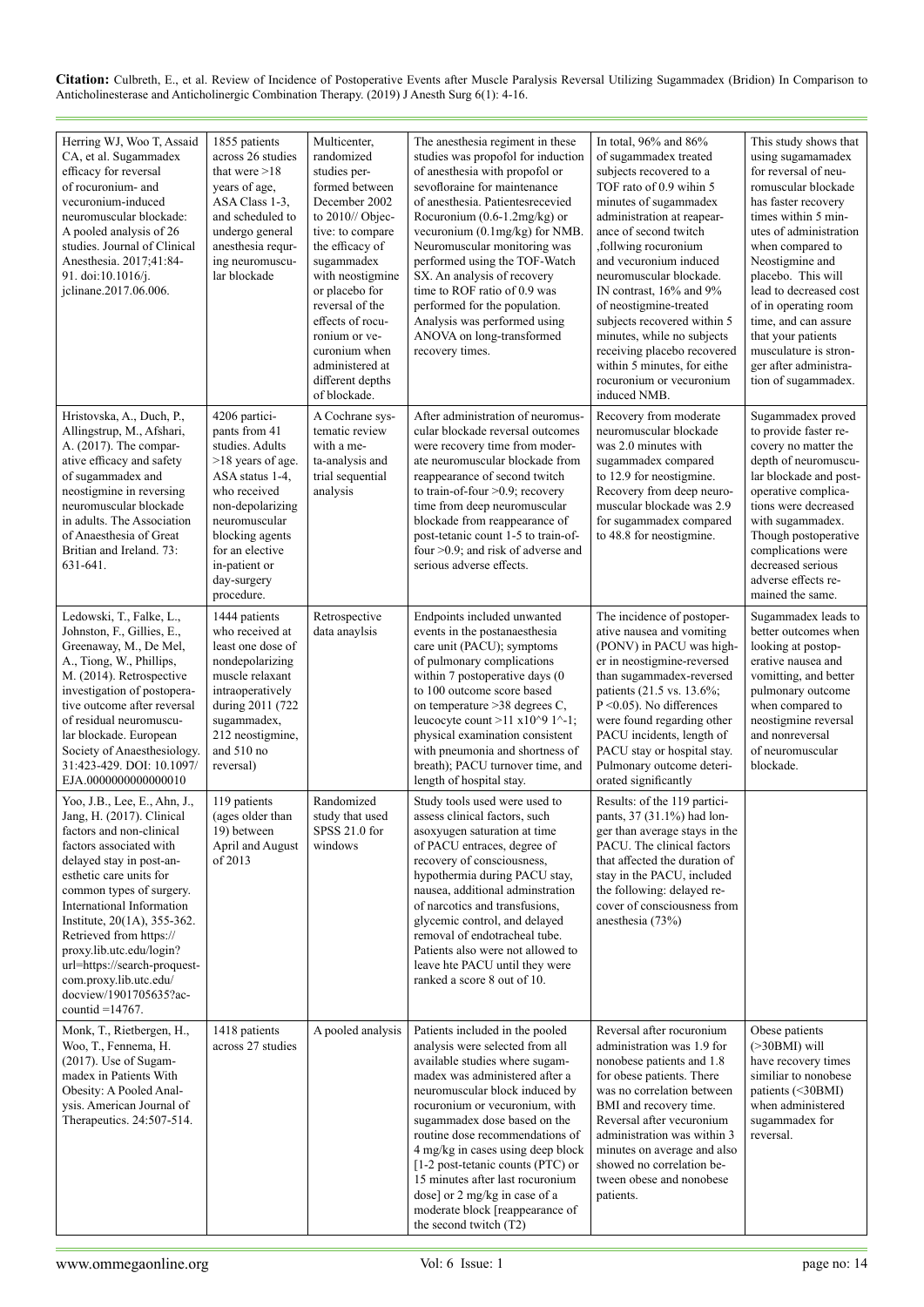| Herring WJ, Woo T, Assaid<br>CA, et al. Sugammadex<br>efficacy for reversal<br>of rocuronium- and<br>vecuronium-induced<br>neuromuscular blockade:<br>A pooled analysis of 26<br>studies. Journal of Clinical<br>Anesthesia. 2017;41:84-<br>91. doi:10.1016/j.<br>jclinane.2017.06.006.                                                                                                                                          | 1855 patients<br>across 26 studies<br>that were $>18$<br>years of age,<br>ASA Class 1-3,<br>and scheduled to<br>undergo general<br>anesthesia requr-<br>ing neuromuscu-<br>lar blockade                                              | Multicenter,<br>randomized<br>studies per-<br>formed between<br>December 2002<br>to 2010// Objec-<br>tive: to compare<br>the efficacy of<br>sugammadex<br>with neostigmine<br>or placebo for<br>reversal of the<br>effects of rocu-<br>ronium or ve-<br>curonium when<br>administered at<br>different depths<br>of blockade. | The anesthesia regiment in these<br>studies was propofol for induction<br>of anesthesia with propofol or<br>sevofloraine for maintenance<br>of anesthesia. Patientesrecevied<br>Rocuronium $(0.6-1.2mg/kg)$ or<br>vecuronium $(0.1 \text{mg/kg})$ for NMB.<br>Neuromuscular monitoring was<br>performed using the TOF-Watch<br>SX. An analysis of recovery<br>time to ROF ratio of 0.9 was<br>performed for the population.<br>Analysis was performed using<br>ANOVA on long-transformed<br>recovery times. | In total, 96% and 86%<br>of sugammadex treated<br>subjects recovered to a<br>TOF rato of 0.9 wihin 5<br>minutes of sugammadex<br>administration at reapear-<br>ance of second twitch<br>, follwing rocuronium<br>and vecuronium induced<br>neuromuscular blockade.<br>IN contrast, 16% and 9%<br>of neostigmine-treated<br>subjects recovered within 5<br>minutes, while no subjects<br>receiving placebo recovered<br>within 5 minutes, for eithe<br>rocuronium or vecuronium<br>induced NMB. | This study shows that<br>using sugamamadex<br>for reversal of neu-<br>romuscular blockade<br>has faster recovery<br>times within 5 min-<br>utes of administration<br>when compared to<br>Neostigmine and<br>placebo. This will<br>lead to decreased cost<br>of in operating room<br>time, and can assure<br>that your patients<br>musculature is stron-<br>ger after administra-<br>tion of sugammadex. |
|----------------------------------------------------------------------------------------------------------------------------------------------------------------------------------------------------------------------------------------------------------------------------------------------------------------------------------------------------------------------------------------------------------------------------------|--------------------------------------------------------------------------------------------------------------------------------------------------------------------------------------------------------------------------------------|------------------------------------------------------------------------------------------------------------------------------------------------------------------------------------------------------------------------------------------------------------------------------------------------------------------------------|-------------------------------------------------------------------------------------------------------------------------------------------------------------------------------------------------------------------------------------------------------------------------------------------------------------------------------------------------------------------------------------------------------------------------------------------------------------------------------------------------------------|------------------------------------------------------------------------------------------------------------------------------------------------------------------------------------------------------------------------------------------------------------------------------------------------------------------------------------------------------------------------------------------------------------------------------------------------------------------------------------------------|---------------------------------------------------------------------------------------------------------------------------------------------------------------------------------------------------------------------------------------------------------------------------------------------------------------------------------------------------------------------------------------------------------|
| Hristovska, A., Duch, P.,<br>Allingstrup, M., Afshari,<br>A. (2017). The compar-<br>ative efficacy and safety<br>of sugammadex and<br>neostigmine in reversing<br>neuromuscular blockade<br>in adults. The Association<br>of Anaesthesia of Great<br>Britian and Ireland. 73:<br>631-641.                                                                                                                                        | 4206 partici-<br>pants from 41<br>studies. Adults<br>$>18$ years of age.<br>ASA status 1-4,<br>who received<br>non-depolarizing<br>neuromuscular<br>blocking agents<br>for an elective<br>in-patient or<br>day-surgery<br>procedure. | A Cochrane sys-<br>tematic review<br>with a me-<br>ta-analysis and<br>trial sequential<br>analysis                                                                                                                                                                                                                           | After administration of neuromus-<br>cular blockade reversal outcomes<br>were recovery time from moder-<br>ate neuromuscular blockade from<br>reappearance of second twitch<br>to train-of-four >0.9; recovery<br>time from deep neuromuscular<br>blockade from reappearance of<br>post-tetanic count 1-5 to train-of-<br>four >0.9; and risk of adverse and<br>serious adverse effects.                                                                                                                    | Recovery from moderate<br>neuromuscular blockade<br>was 2.0 minutes with<br>sugammadex compared<br>to 12.9 for neostigmine.<br>Recovery from deep neuro-<br>muscular blockade was 2.9<br>for sugammadex compared<br>to 48.8 for neostigmine.                                                                                                                                                                                                                                                   | Sugammadex proved<br>to provide faster re-<br>covery no matter the<br>depth of neuromuscu-<br>lar blockade and post-<br>operative complica-<br>tions were decreased<br>with sugammadex.<br>Though postoperative<br>complications were<br>decreased serious<br>adverse effects re-<br>mained the same.                                                                                                   |
| Ledowski, T., Falke, L.,<br>Johnston, F., Gillies, E.,<br>Greenaway, M., De Mel,<br>A., Tiong, W., Phillips,<br>M. (2014). Retrospective<br>investigation of postopera-<br>tive outcome after reversal<br>of residual neuromuscu-<br>lar blockade. European<br>Society of Anaesthesiology.<br>31:423-429. DOI: 10.1097/<br>EJA.0000000000000010                                                                                  | 1444 patients<br>who received at<br>least one dose of<br>nondepolarizing<br>muscle relaxant<br>intraoperatively<br>during 2011 (722)<br>sugammadex,<br>212 neostigmine,<br>and 510 no<br>reversal)                                   | Retrospective<br>data anaylsis                                                                                                                                                                                                                                                                                               | Endpoints included unwanted<br>events in the postanaesthesia<br>care unit (PACU); symptoms<br>of pulmonary complications<br>within 7 postoperative days (0<br>to 100 outcome score based<br>on temperature >38 degrees C,<br>leucocyte count >11 x10 $\degree$ 9 1 $\degree$ -1;<br>physical examination consistent<br>with pneumonia and shortness of<br>breath); PACU turnover time, and<br>length of hospital stay.                                                                                      | The incidence of postoper-<br>ative nausea and vomiting<br>(PONV) in PACU was high-<br>er in neostigmine-reversed<br>than sugammadex-reversed<br>patients (21.5 vs. 13.6%;<br>$P \leq 0.05$ ). No differences<br>were found regarding other<br>PACU incidents, length of<br>PACU stay or hospital stay.<br>Pulmonary outcome deteri-<br>orated significantly                                                                                                                                   | Sugammadex leads to<br>better outcomes when<br>looking at postop-<br>erative nausea and<br>vomitting, and better<br>pulmonary outcome<br>when compared to<br>neostigmine reversal<br>and nonreversal<br>of neuromuscular<br>blockade.                                                                                                                                                                   |
| Yoo, J.B., Lee, E., Ahn, J.,<br>Jang, H. (2017). Clinical<br>factors and non-clinical<br>factors associated with<br>delayed stay in post-an-<br>esthetic care units for<br>common types of surgery.<br>International Information<br>Institute, 20(1A), 355-362.<br>Retrieved from https://<br>proxy.lib.utc.edu/login?<br>url=https://search-proquest-<br>com.proxy.lib.utc.edu/<br>docview/1901705635?ac-<br>countid $=14767$ . | 119 patients<br>(ages older than<br>19) between<br>April and August<br>of 2013                                                                                                                                                       | Randomized<br>study that used<br>SPSS 21.0 for<br>windows                                                                                                                                                                                                                                                                    | Study tools used were used to<br>assess clinical factors, such<br>asoxyugen saturation at time<br>of PACU entraces, degree of<br>recovery of consciousness,<br>hypothermia during PACU stay,<br>nausea, additional adminstration<br>of narcotics and transfusions,<br>glycemic control, and delayed<br>removal of endotracheal tube.<br>Patients also were not allowed to<br>leave hte PACU until they were<br>ranked a score 8 out of 10.                                                                  | Results: of the 119 partici-<br>pants, 37 (31.1%) had lon-<br>ger than average stays in the<br>PACU. The clinical factors<br>that affected the duration of<br>stay in the PACU, included<br>the following: delayed re-<br>cover of consciousness from<br>anesthesia $(73%)$                                                                                                                                                                                                                    |                                                                                                                                                                                                                                                                                                                                                                                                         |
| Monk, T., Rietbergen, H.,<br>Woo, T., Fennema, H.<br>$(2017)$ . Use of Sugam-<br>madex in Patients With<br>Obesity: A Pooled Anal-<br>ysis. American Journal of<br>Therapeutics. $24:507-514$ .                                                                                                                                                                                                                                  | 1418 patients<br>across 27 studies                                                                                                                                                                                                   | A pooled analysis                                                                                                                                                                                                                                                                                                            | Patients included in the pooled<br>analysis were selected from all<br>available studies where sugam-<br>madex was administered after a<br>neuromuscular block induced by<br>rocuronium or vecuronium, with<br>sugammadex dose based on the<br>routine dose recommendations of<br>4 mg/kg in cases using deep block<br>$[1-2$ post-tetanic counts (PTC) or<br>15 minutes after last rocuronium<br>dose] or $2 \text{ mg/kg}$ in case of a<br>moderate block [reappearance of<br>the second twitch (T2)       | Reversal after rocuronium<br>administration was 1.9 for<br>nonobese patients and 1.8<br>for obese patients. There<br>was no correlation between<br>BMI and recovery time.<br>Reversal after vecuronium<br>administration was within 3<br>minutes on average and also<br>showed no correlation be-<br>tween obese and nonobese<br>patients.                                                                                                                                                     | Obese patients<br>$($ >30BMI $)$ will<br>have recovery times<br>similiar to nonobese<br>patients (<30BMI)<br>when administered<br>sugammadex for<br>reversal.                                                                                                                                                                                                                                           |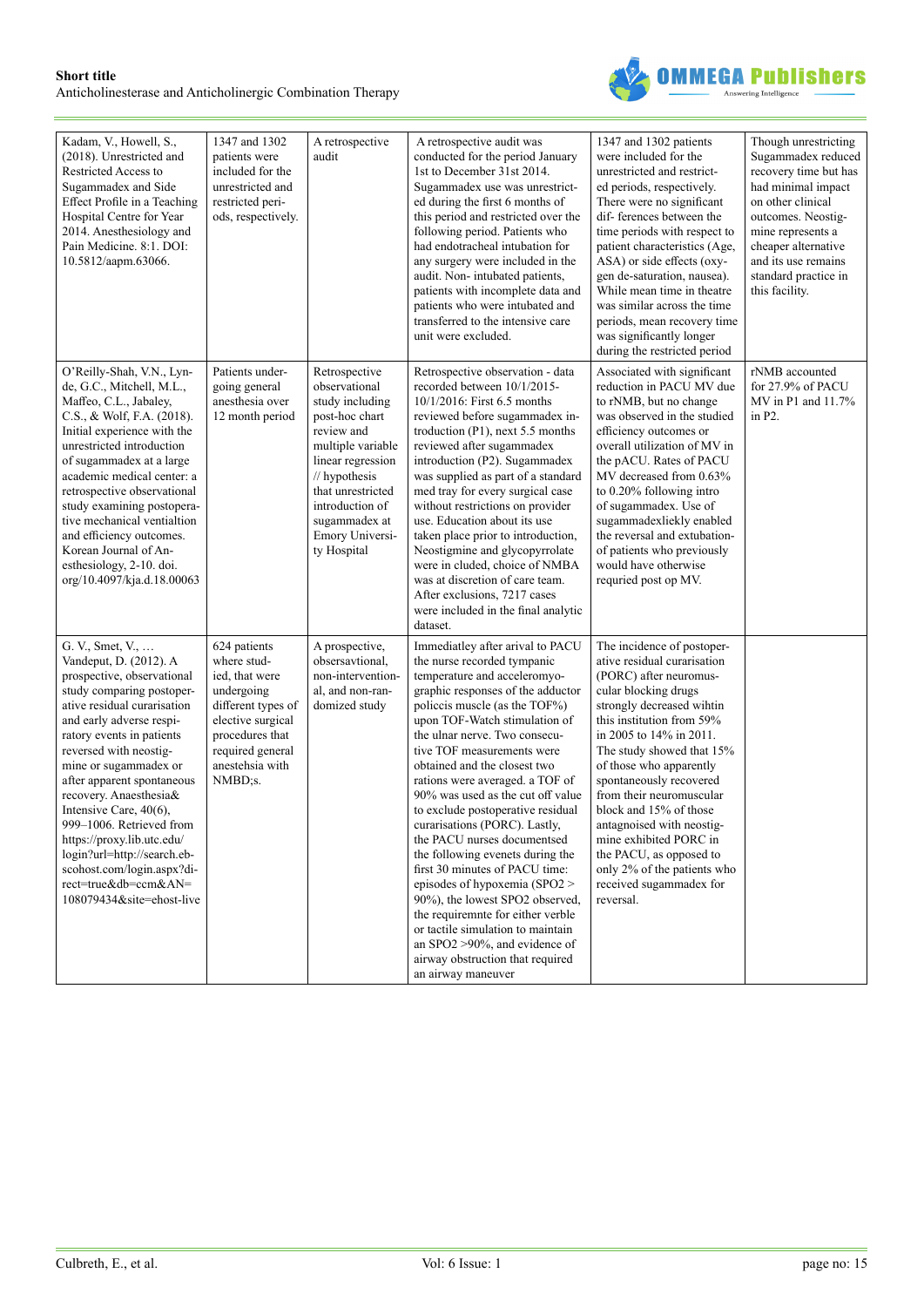

| Kadam, V., Howell, S.,<br>(2018). Unrestricted and<br>Restricted Access to<br>Sugammadex and Side<br>Effect Profile in a Teaching<br>Hospital Centre for Year<br>2014. Anesthesiology and<br>Pain Medicine. 8:1. DOI:<br>10.5812/aapm.63066.                                                                                                                                                                                                                                                                   | 1347 and 1302<br>patients were<br>included for the<br>unrestricted and<br>restricted peri-<br>ods, respectively.                                                            | A retrospective<br>audit                                                                                                                                                                                                                | A retrospective audit was<br>conducted for the period January<br>1st to December 31st 2014.<br>Sugammadex use was unrestrict-<br>ed during the first 6 months of<br>this period and restricted over the<br>following period. Patients who<br>had endotracheal intubation for<br>any surgery were included in the<br>audit. Non-intubated patients,<br>patients with incomplete data and<br>patients who were intubated and<br>transferred to the intensive care<br>unit were excluded.                                                                                                                                                                                                                                                                                                                 | 1347 and 1302 patients<br>were included for the<br>unrestricted and restrict-<br>ed periods, respectively.<br>There were no significant<br>dif-ferences between the<br>time periods with respect to<br>patient characteristics (Age,<br>ASA) or side effects (oxy-<br>gen de-saturation, nausea).<br>While mean time in theatre<br>was similar across the time<br>periods, mean recovery time<br>was significantly longer<br>during the restricted period                                          | Though unrestricting<br>Sugammadex reduced<br>recovery time but has<br>had minimal impact<br>on other clinical<br>outcomes. Neostig-<br>mine represents a<br>cheaper alternative<br>and its use remains<br>standard practice in<br>this facility. |
|----------------------------------------------------------------------------------------------------------------------------------------------------------------------------------------------------------------------------------------------------------------------------------------------------------------------------------------------------------------------------------------------------------------------------------------------------------------------------------------------------------------|-----------------------------------------------------------------------------------------------------------------------------------------------------------------------------|-----------------------------------------------------------------------------------------------------------------------------------------------------------------------------------------------------------------------------------------|--------------------------------------------------------------------------------------------------------------------------------------------------------------------------------------------------------------------------------------------------------------------------------------------------------------------------------------------------------------------------------------------------------------------------------------------------------------------------------------------------------------------------------------------------------------------------------------------------------------------------------------------------------------------------------------------------------------------------------------------------------------------------------------------------------|----------------------------------------------------------------------------------------------------------------------------------------------------------------------------------------------------------------------------------------------------------------------------------------------------------------------------------------------------------------------------------------------------------------------------------------------------------------------------------------------------|---------------------------------------------------------------------------------------------------------------------------------------------------------------------------------------------------------------------------------------------------|
| O'Reilly-Shah, V.N., Lyn-<br>de, G.C., Mitchell, M.L.,<br>Maffeo, C.L., Jabaley,<br>C.S., & Wolf, F.A. (2018).<br>Initial experience with the<br>unrestricted introduction<br>of sugammadex at a large<br>academic medical center: a<br>retrospective observational<br>study examining postopera-<br>tive mechanical ventialtion<br>and efficiency outcomes.<br>Korean Journal of An-<br>esthesiology, 2-10. doi.<br>org/10.4097/kja.d.18.00063                                                                | Patients under-<br>going general<br>anesthesia over<br>12 month period                                                                                                      | Retrospective<br>observational<br>study including<br>post-hoc chart<br>review and<br>multiple variable<br>linear regression<br>// hypothesis<br>that unrestricted<br>introduction of<br>sugammadex at<br>Emory Universi-<br>ty Hospital | Retrospective observation - data<br>recorded between 10/1/2015-<br>10/1/2016: First 6.5 months<br>reviewed before sugammadex in-<br>troduction (P1), next 5.5 months<br>reviewed after sugammadex<br>introduction (P2). Sugammadex<br>was supplied as part of a standard<br>med tray for every surgical case<br>without restrictions on provider<br>use. Education about its use<br>taken place prior to introduction,<br>Neostigmine and glycopyrrolate<br>were in cluded, choice of NMBA<br>was at discretion of care team.<br>After exclusions, 7217 cases<br>were included in the final analytic<br>dataset.                                                                                                                                                                                       | Associated with significant<br>reduction in PACU MV due<br>to rNMB, but no change<br>was observed in the studied<br>efficiency outcomes or<br>overall utilization of MV in<br>the pACU. Rates of PACU<br>MV decreased from 0.63%<br>to 0.20% following intro<br>of sugammadex. Use of<br>sugammadexliekly enabled<br>the reversal and extubation-<br>of patients who previously<br>would have otherwise<br>requried post op MV.                                                                    | rNMB accounted<br>for 27.9% of PACU<br>MV in P1 and 11.7%<br>in P2.                                                                                                                                                                               |
| G. V., Smet, V.,<br>Vandeput, D. (2012). A<br>prospective, observational<br>study comparing postoper-<br>ative residual curarisation<br>and early adverse respi-<br>ratory events in patients<br>reversed with neostig-<br>mine or sugammadex or<br>after apparent spontaneous<br>recovery. Anaesthesia&<br>Intensive Care, 40(6),<br>999-1006. Retrieved from<br>https://proxy.lib.utc.edu/<br>login?url=http://search.eb-<br>scohost.com/login.aspx?di-<br>rect=true&db=ccm&AN=<br>108079434&site=ehost-live | 624 patients<br>where stud-<br>ied, that were<br>undergoing<br>different types of<br>elective surgical<br>procedures that<br>required general<br>anestehsia with<br>NMBD:s. | A prospective,<br>obsersavtional,<br>non-intervention-<br>al, and non-ran-<br>domized study                                                                                                                                             | Immediatley after arival to PACU<br>the nurse recorded tympanic<br>temperature and acceleromyo-<br>graphic responses of the adductor<br>policcis muscle (as the TOF%)<br>upon TOF-Watch stimulation of<br>the ulnar nerve. Two consecu-<br>tive TOF measurements were<br>obtained and the closest two<br>rations were averaged. a TOF of<br>90% was used as the cut off value<br>to exclude postoperative residual<br>curarisations (PORC). Lastly,<br>the PACU nurses documentsed<br>the following evenets during the<br>first 30 minutes of PACU time:<br>episodes of hypoxemia (SPO2 ><br>90%), the lowest SPO2 observed,<br>the requiremnte for either verble<br>or tactile simulation to maintain<br>an $SPO2 > 90\%$ , and evidence of<br>airway obstruction that required<br>an airway maneuver | The incidence of postoper-<br>ative residual curarisation<br>(PORC) after neuromus-<br>cular blocking drugs<br>strongly decreased wihtin<br>this institution from 59%<br>in 2005 to 14% in 2011.<br>The study showed that 15%<br>of those who apparently<br>spontaneously recovered<br>from their neuromuscular<br>block and 15% of those<br>antagnoised with neostig-<br>mine exhibited PORC in<br>the PACU, as opposed to<br>only 2% of the patients who<br>received sugammadex for<br>reversal. |                                                                                                                                                                                                                                                   |